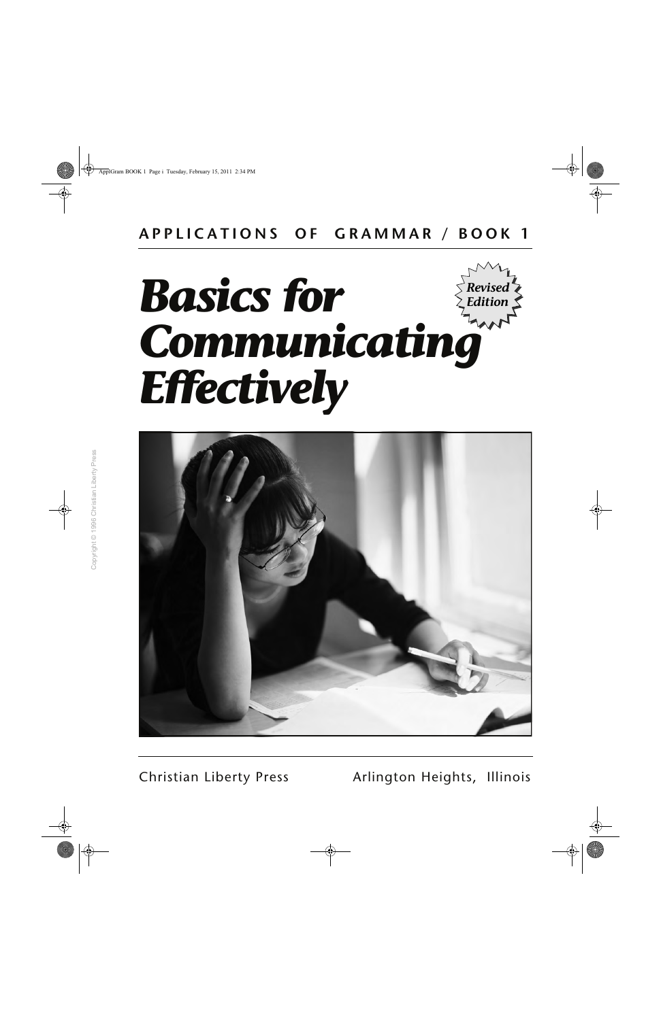# *Revised Basics for Edition Communicating Effectively*



Christian Liberty Press Arlington Heights, Illinois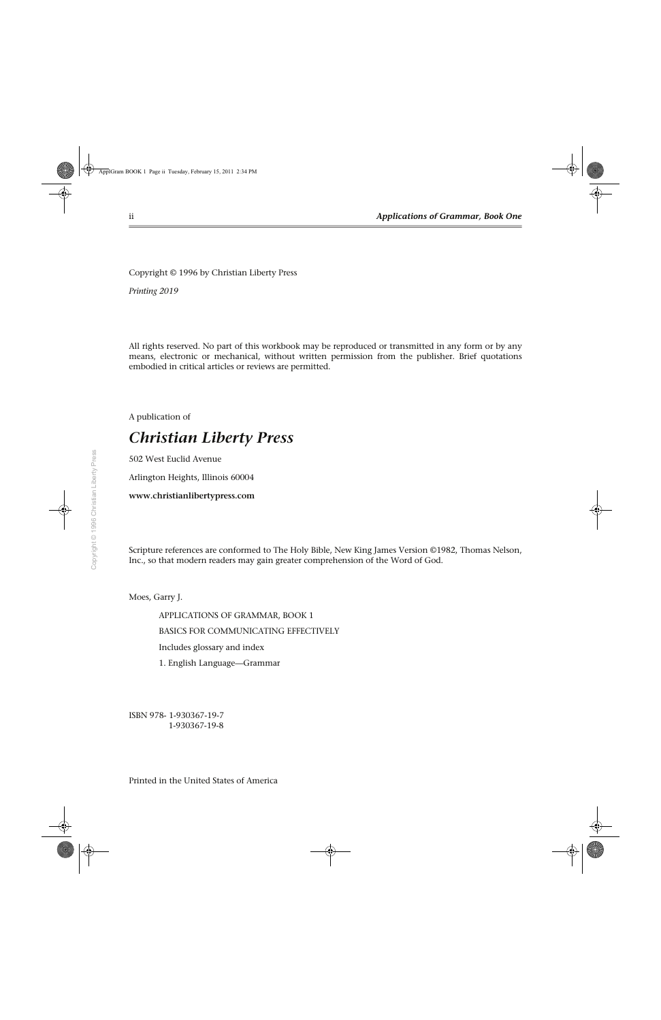Copyright © 1996 by Christian Liberty Press

*Printing 2019*

All rights reserved. No part of this workbook may be reproduced or transmitted in any form or by any means, electronic or mechanical, without written permission from the publisher. Brief quotations embodied in critical articles or reviews are permitted.

A publication of

# *Christian Liberty Press*

502 West Euclid Avenue

Arlington Heights, Illinois 60004

**www.christianlibertypress.com**

Scripture references are conformed to The Holy Bible, New King James Version ©1982, Thomas Nelson, Inc., so that modern readers may gain greater comprehension of the Word of God.

Moes, Garry J.

APPLICATIONS OF GRAMMAR, BOOK 1 BASICS FOR COMMUNICATING EFFECTIVELY Includes glossary and index 1. English Language—Grammar

ISBN 978- 1-930367-19-7 1-930367-19-8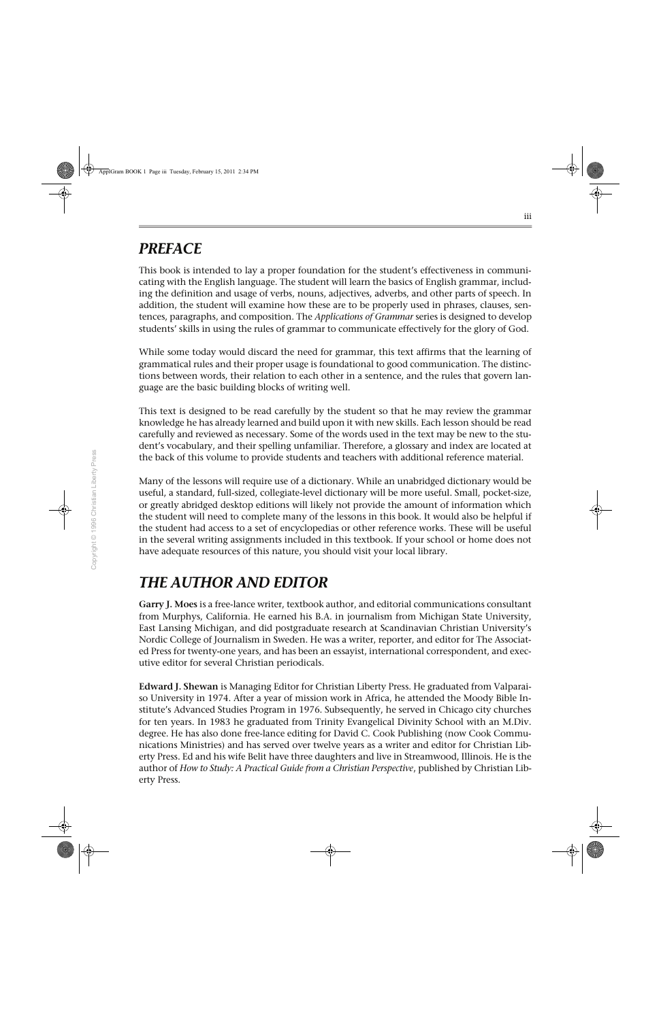# *PREFACE*

This book is intended to lay a proper foundation for the student's effectiveness in communicating with the English language. The student will learn the basics of English grammar, including the definition and usage of verbs, nouns, adjectives, adverbs, and other parts of speech. In addition, the student will examine how these are to be properly used in phrases, clauses, sentences, paragraphs, and composition. The *Applications of Grammar* series is designed to develop students' skills in using the rules of grammar to communicate effectively for the glory of God.

While some today would discard the need for grammar, this text affirms that the learning of grammatical rules and their proper usage is foundational to good communication. The distinctions between words, their relation to each other in a sentence, and the rules that govern language are the basic building blocks of writing well.

This text is designed to be read carefully by the student so that he may review the grammar knowledge he has already learned and build upon it with new skills. Each lesson should be read carefully and reviewed as necessary. Some of the words used in the text may be new to the student's vocabulary, and their spelling unfamiliar. Therefore, a glossary and index are located at the back of this volume to provide students and teachers with additional reference material.

Many of the lessons will require use of a dictionary. While an unabridged dictionary would be useful, a standard, full-sized, collegiate-level dictionary will be more useful. Small, pocket-size, or greatly abridged desktop editions will likely not provide the amount of information which the student will need to complete many of the lessons in this book. It would also be helpful if the student had access to a set of encyclopedias or other reference works. These will be useful in the several writing assignments included in this textbook. If your school or home does not have adequate resources of this nature, you should visit your local library.

# *THE AUTHOR AND EDITOR*

**Garry J. Moes** is a free-lance writer, textbook author, and editorial communications consultant from Murphys, California. He earned his B.A. in journalism from Michigan State University, East Lansing Michigan, and did postgraduate research at Scandinavian Christian University's Nordic College of Journalism in Sweden. He was a writer, reporter, and editor for The Associated Press for twenty-one years, and has been an essayist, international correspondent, and executive editor for several Christian periodicals.

**Edward J. Shewan** is Managing Editor for Christian Liberty Press. He graduated from Valparaiso University in 1974. After a year of mission work in Africa, he attended the Moody Bible Institute's Advanced Studies Program in 1976. Subsequently, he served in Chicago city churches for ten years. In 1983 he graduated from Trinity Evangelical Divinity School with an M.Div. degree. He has also done free-lance editing for David C. Cook Publishing (now Cook Communications Ministries) and has served over twelve years as a writer and editor for Christian Liberty Press. Ed and his wife Belit have three daughters and live in Streamwood, Illinois. He is the author of *How to Study: A Practical Guide from a Christian Perspective*, published by Christian Liberty Press.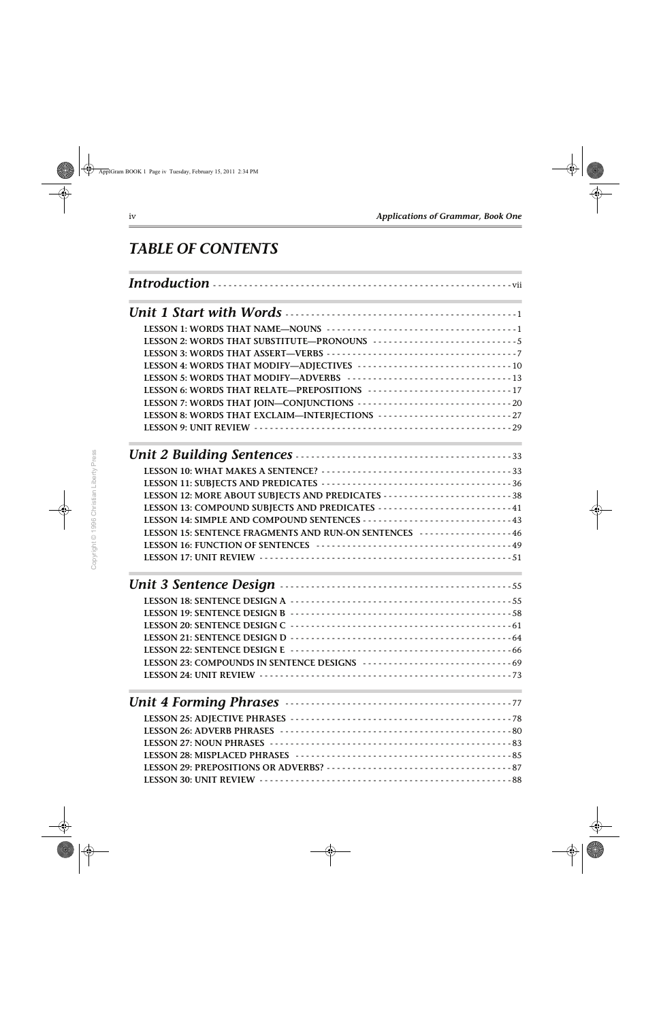the control of the control of the control of

# *TABLE OF CONTENTS*

| LESSON 2: WORDS THAT SUBSTITUTE-PRONOUNS ----------------------------5     |  |
|----------------------------------------------------------------------------|--|
|                                                                            |  |
| LESSON 4: WORDS THAT MODIFY-ADJECTIVES ------------------------------10    |  |
| LESSON 5: WORDS THAT MODIFY-ADVERBS -------------------------------13      |  |
| LESSON 6: WORDS THAT RELATE-PREPOSITIONS ---------------------------17     |  |
| LESSON 7: WORDS THAT JOIN-CONJUNCTIONS ---------------------------------20 |  |
| LESSON 8: WORDS THAT EXCLAIM-INTERJECTIONS -------------------------27     |  |
|                                                                            |  |
|                                                                            |  |
|                                                                            |  |
|                                                                            |  |
|                                                                            |  |
|                                                                            |  |
|                                                                            |  |
| LESSON 15: SENTENCE FRAGMENTS AND RUN-ON SENTENCES -----------------46     |  |
|                                                                            |  |
|                                                                            |  |
|                                                                            |  |
|                                                                            |  |
|                                                                            |  |
|                                                                            |  |
|                                                                            |  |
|                                                                            |  |
| LESSON 23: COMPOUNDS IN SENTENCE DESIGNS -----------------------------69   |  |
|                                                                            |  |
|                                                                            |  |
|                                                                            |  |
|                                                                            |  |
|                                                                            |  |
|                                                                            |  |
|                                                                            |  |
|                                                                            |  |
|                                                                            |  |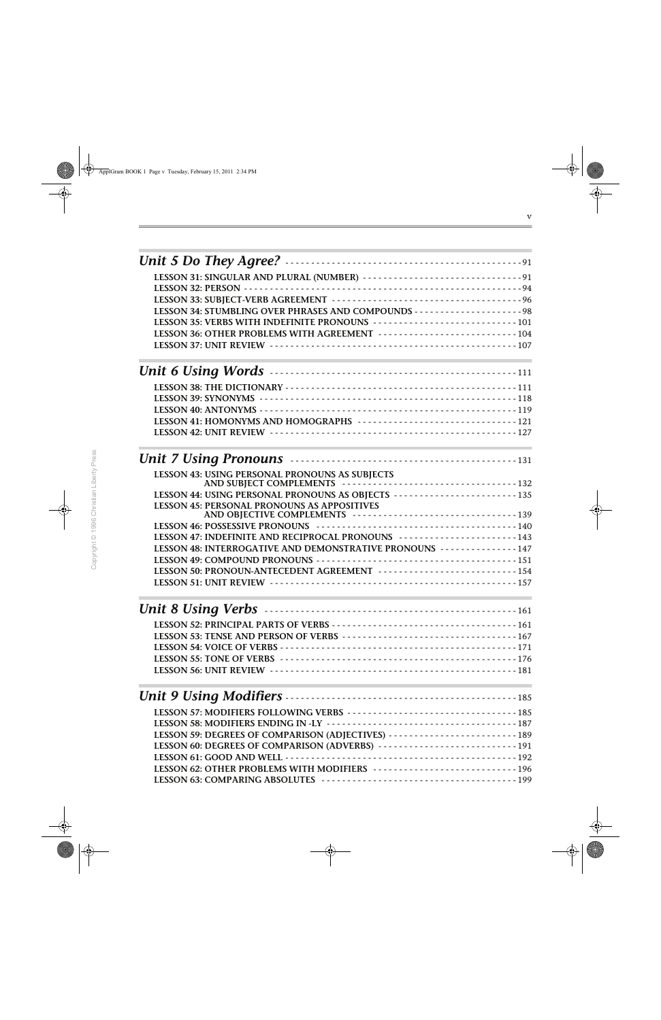| LESSON 31: SINGULAR AND PLURAL (NUMBER) --------------------------------91                                          |  |  |  |
|---------------------------------------------------------------------------------------------------------------------|--|--|--|
|                                                                                                                     |  |  |  |
| LESSON 35: VERBS WITH INDEFINITE PRONOUNS ----------------------------101                                           |  |  |  |
| LESSON 36: OTHER PROBLEMS WITH AGREEMENT --------------------------104                                              |  |  |  |
|                                                                                                                     |  |  |  |
|                                                                                                                     |  |  |  |
|                                                                                                                     |  |  |  |
|                                                                                                                     |  |  |  |
|                                                                                                                     |  |  |  |
| LESSON 41: HOMONYMS AND HOMOGRAPHS ------------------------------121                                                |  |  |  |
|                                                                                                                     |  |  |  |
|                                                                                                                     |  |  |  |
| LESSON 43: USING PERSONAL PRONOUNS AS SUBJECTS                                                                      |  |  |  |
|                                                                                                                     |  |  |  |
| <b>LESSON 45: PERSONAL PRONOUNS AS APPOSITIVES</b><br>AND OBJECTIVE COMPLEMENTS --------------------------------139 |  |  |  |
|                                                                                                                     |  |  |  |
| LESSON 47: INDEFINITE AND RECIPROCAL PRONOUNS ---------------------143                                              |  |  |  |
| LESSON 48: INTERROGATIVE AND DEMONSTRATIVE PRONOUNS --------------147                                               |  |  |  |
|                                                                                                                     |  |  |  |
| LESSON 50: PRONOUN-ANTECEDENT AGREEMENT --------------------------154                                               |  |  |  |
|                                                                                                                     |  |  |  |
|                                                                                                                     |  |  |  |
|                                                                                                                     |  |  |  |
|                                                                                                                     |  |  |  |
|                                                                                                                     |  |  |  |
|                                                                                                                     |  |  |  |
|                                                                                                                     |  |  |  |
|                                                                                                                     |  |  |  |
| LESSON 57: MODIFIERS FOLLOWING VERBS ---------------------------------185                                           |  |  |  |
|                                                                                                                     |  |  |  |
|                                                                                                                     |  |  |  |
| LESSON 60: DEGREES OF COMPARISON (ADVERBS) --------------------------191                                            |  |  |  |
|                                                                                                                     |  |  |  |
| LESSON 62: OTHER PROBLEMS WITH MODIFIERS ---------------------------196                                             |  |  |  |
|                                                                                                                     |  |  |  |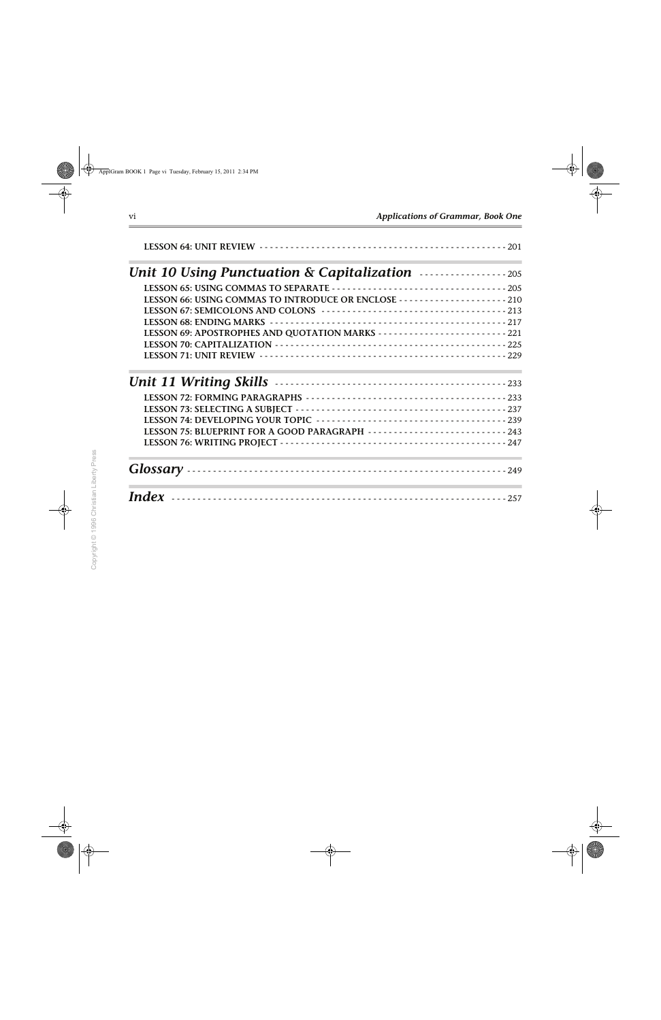the control of the control of

 $\overline{\phantom{0}}$ 

| Index |  |
|-------|--|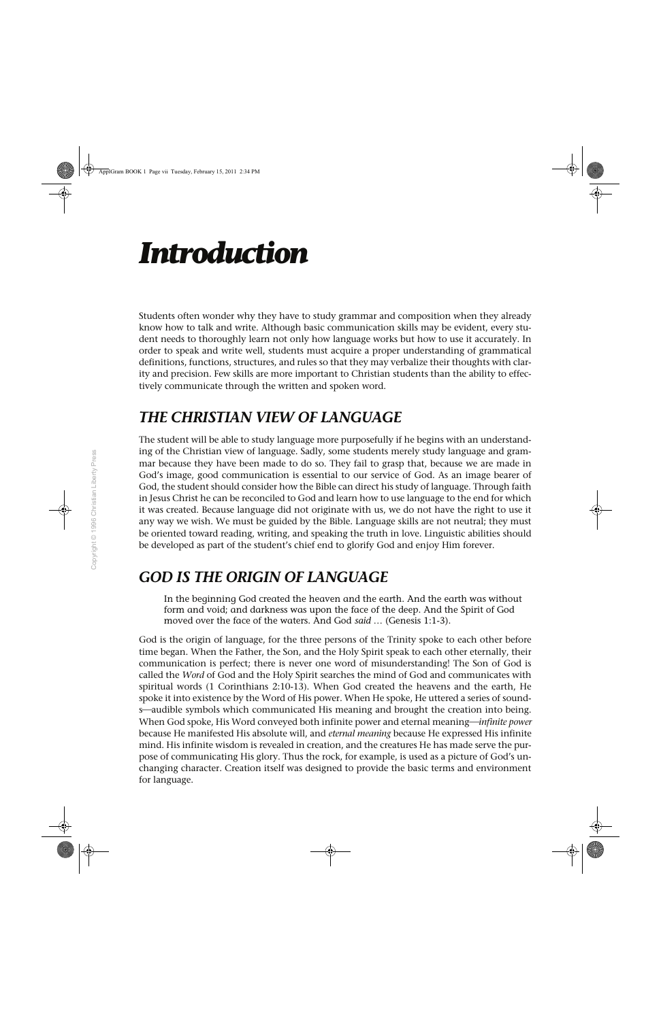# *Introduction*

Students often wonder why they have to study grammar and composition when they already know how to talk and write. Although basic communication skills may be evident, every student needs to thoroughly learn not only how language works but how to use it accurately. In order to speak and write well, students must acquire a proper understanding of grammatical definitions, functions, structures, and rules so that they may verbalize their thoughts with clarity and precision. Few skills are more important to Christian students than the ability to effectively communicate through the written and spoken word.

# *THE CHRISTIAN VIEW OF LANGUAGE*

The student will be able to study language more purposefully if he begins with an understanding of the Christian view of language. Sadly, some students merely study language and grammar because they have been made to do so. They fail to grasp that, because we are made in God's image, good communication is essential to our service of God. As an image bearer of God, the student should consider how the Bible can direct his study of language. Through faith in Jesus Christ he can be reconciled to God and learn how to use language to the end for which it was created. Because language did not originate with us, we do not have the right to use it any way we wish. We must be guided by the Bible. Language skills are not neutral; they must be oriented toward reading, writing, and speaking the truth in love. Linguistic abilities should be developed as part of the student's chief end to glorify God and enjoy Him forever.

# *GOD IS THE ORIGIN OF LANGUAGE*

In the beginning God created the heaven and the earth. And the earth was without form and void; and darkness was upon the face of the deep. And the Spirit of God moved over the face of the waters. And God *said* … (Genesis 1:1-3).

God is the origin of language, for the three persons of the Trinity spoke to each other before time began. When the Father, the Son, and the Holy Spirit speak to each other eternally, their communication is perfect; there is never one word of misunderstanding! The Son of God is called the *Word* of God and the Holy Spirit searches the mind of God and communicates with spiritual words (1 Corinthians 2:10-13). When God created the heavens and the earth, He spoke it into existence by the Word of His power. When He spoke, He uttered a series of sounds—audible symbols which communicated His meaning and brought the creation into being. When God spoke, His Word conveyed both infinite power and eternal meaning—*infinite power* because He manifested His absolute will, and *eternal meaning* because He expressed His infinite mind. His infinite wisdom is revealed in creation, and the creatures He has made serve the purpose of communicating His glory. Thus the rock, for example, is used as a picture of God's unchanging character. Creation itself was designed to provide the basic terms and environment for language.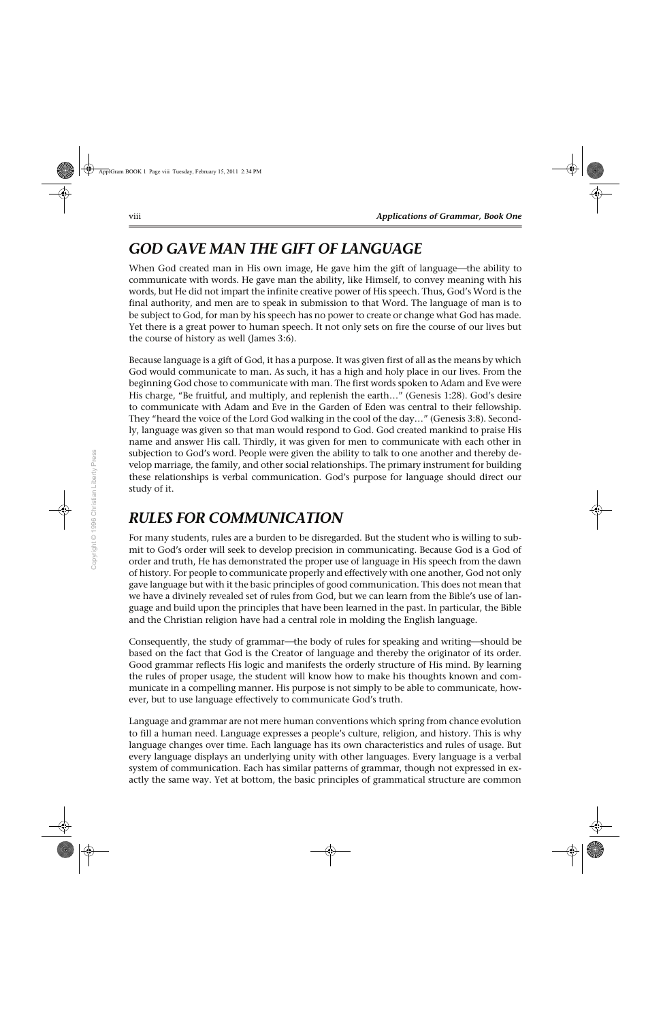# *GOD GAVE MAN THE GIFT OF LANGUAGE*

When God created man in His own image, He gave him the gift of language—the ability to communicate with words. He gave man the ability, like Himself, to convey meaning with his words, but He did not impart the infinite creative power of His speech. Thus, God's Word is the final authority, and men are to speak in submission to that Word. The language of man is to be subject to God, for man by his speech has no power to create or change what God has made. Yet there is a great power to human speech. It not only sets on fire the course of our lives but the course of history as well (James 3:6).

Because language is a gift of God, it has a purpose. It was given first of all as the means by which God would communicate to man. As such, it has a high and holy place in our lives. From the beginning God chose to communicate with man. The first words spoken to Adam and Eve were His charge, "Be fruitful, and multiply, and replenish the earth…" (Genesis 1:28). God's desire to communicate with Adam and Eve in the Garden of Eden was central to their fellowship. They "heard the voice of the Lord God walking in the cool of the day…" (Genesis 3:8). Secondly, language was given so that man would respond to God. God created mankind to praise His name and answer His call. Thirdly, it was given for men to communicate with each other in subjection to God's word. People were given the ability to talk to one another and thereby develop marriage, the family, and other social relationships. The primary instrument for building these relationships is verbal communication. God's purpose for language should direct our study of it.

# *RULES FOR COMMUNICATION*

For many students, rules are a burden to be disregarded. But the student who is willing to submit to God's order will seek to develop precision in communicating. Because God is a God of order and truth, He has demonstrated the proper use of language in His speech from the dawn of history. For people to communicate properly and effectively with one another, God not only gave language but with it the basic principles of good communication. This does not mean that we have a divinely revealed set of rules from God, but we can learn from the Bible's use of language and build upon the principles that have been learned in the past. In particular, the Bible and the Christian religion have had a central role in molding the English language.

Consequently, the study of grammar—the body of rules for speaking and writing—should be based on the fact that God is the Creator of language and thereby the originator of its order. Good grammar reflects His logic and manifests the orderly structure of His mind. By learning the rules of proper usage, the student will know how to make his thoughts known and communicate in a compelling manner. His purpose is not simply to be able to communicate, however, but to use language effectively to communicate God's truth.

Language and grammar are not mere human conventions which spring from chance evolution to fill a human need. Language expresses a people's culture, religion, and history. This is why language changes over time. Each language has its own characteristics and rules of usage. But every language displays an underlying unity with other languages. Every language is a verbal system of communication. Each has similar patterns of grammar, though not expressed in exactly the same way. Yet at bottom, the basic principles of grammatical structure are common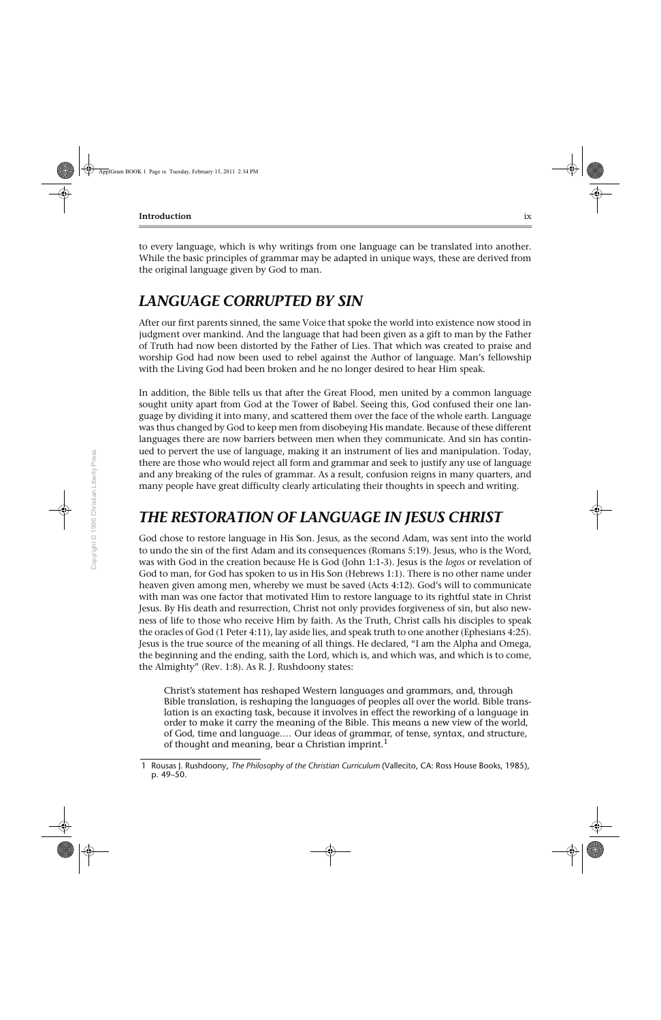to every language, which is why writings from one language can be translated into another. While the basic principles of grammar may be adapted in unique ways, these are derived from the original language given by God to man.

# *LANGUAGE CORRUPTED BY SIN*

After our first parents sinned, the same Voice that spoke the world into existence now stood in judgment over mankind. And the language that had been given as a gift to man by the Father of Truth had now been distorted by the Father of Lies. That which was created to praise and worship God had now been used to rebel against the Author of language. Man's fellowship with the Living God had been broken and he no longer desired to hear Him speak.

In addition, the Bible tells us that after the Great Flood, men united by a common language sought unity apart from God at the Tower of Babel. Seeing this, God confused their one language by dividing it into many, and scattered them over the face of the whole earth. Language was thus changed by God to keep men from disobeying His mandate. Because of these different languages there are now barriers between men when they communicate. And sin has continued to pervert the use of language, making it an instrument of lies and manipulation. Today, there are those who would reject all form and grammar and seek to justify any use of language and any breaking of the rules of grammar. As a result, confusion reigns in many quarters, and many people have great difficulty clearly articulating their thoughts in speech and writing.

# *THE RESTORATION OF LANGUAGE IN JESUS CHRIST*

God chose to restore language in His Son. Jesus, as the second Adam, was sent into the world to undo the sin of the first Adam and its consequences (Romans 5:19). Jesus, who is the Word, was with God in the creation because He is God (John 1:1-3). Jesus is the *logos* or revelation of God to man, for God has spoken to us in His Son (Hebrews 1:1). There is no other name under heaven given among men, whereby we must be saved (Acts 4:12). God's will to communicate with man was one factor that motivated Him to restore language to its rightful state in Christ Jesus. By His death and resurrection, Christ not only provides forgiveness of sin, but also newness of life to those who receive Him by faith. As the Truth, Christ calls his disciples to speak the oracles of God (1 Peter 4:11), lay aside lies, and speak truth to one another (Ephesians 4:25). Jesus is the true source of the meaning of all things. He declared, "I am the Alpha and Omega, the beginning and the ending, saith the Lord, which is, and which was, and which is to come, the Almighty" (Rev. 1:8). As R. J. Rushdoony states:

Christ's statement has reshaped Western languages and grammars, and, through Bible translation, is reshaping the languages of peoples all over the world. Bible translation is an exacting task, because it involves in effect the reworking of a language in order to make it carry the meaning of the Bible. This means a new view of the world, of God, time and language.… Our ideas of grammar, of tense, syntax, and structure, of thought and meaning, bear a Christian imprint.<sup>1</sup>

<sup>1</sup> Rousas J. Rushdoony, *The Philosophy of the Christian Curriculum* (Vallecito, CA: Ross House Books, 1985), p. 49–50.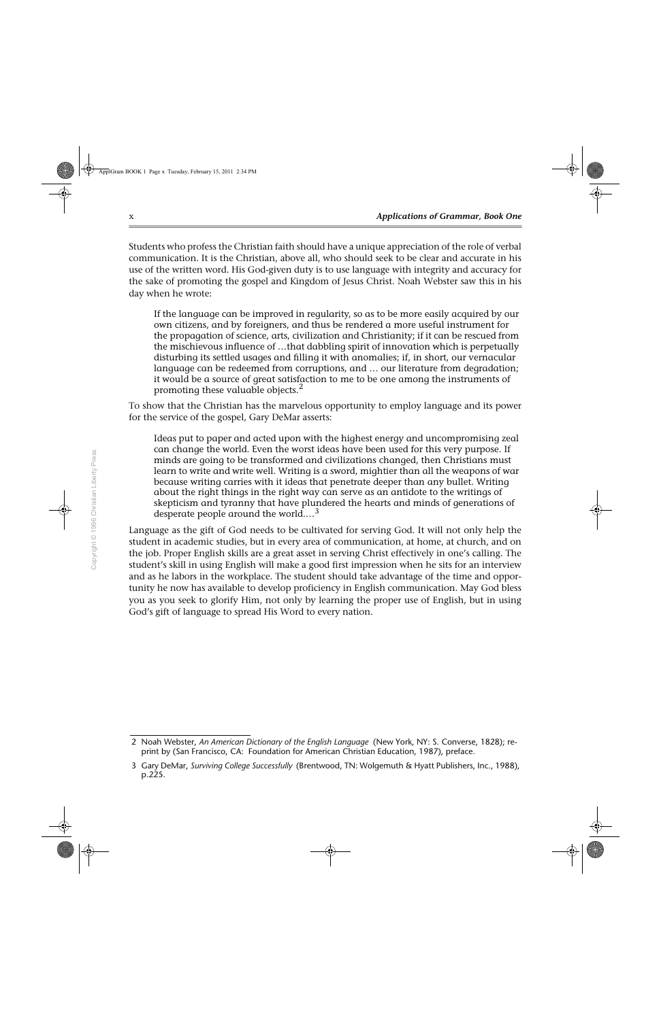Students who profess the Christian faith should have a unique appreciation of the role of verbal communication. It is the Christian, above all, who should seek to be clear and accurate in his use of the written word. His God-given duty is to use language with integrity and accuracy for the sake of promoting the gospel and Kingdom of Jesus Christ. Noah Webster saw this in his day when he wrote:

If the language can be improved in regularity, so as to be more easily acquired by our own citizens, and by foreigners, and thus be rendered a more useful instrument for the propagation of science, arts, civilization and Christianity; if it can be rescued from the mischievous influence of …that dabbling spirit of innovation which is perpetually disturbing its settled usages and filling it with anomalies; if, in short, our vernacular language can be redeemed from corruptions, and … our literature from degradation; it would be a source of great satisfaction to me to be one among the instruments of promoting these valuable objects.<sup>2</sup>

To show that the Christian has the marvelous opportunity to employ language and its power for the service of the gospel, Gary DeMar asserts:

Ideas put to paper and acted upon with the highest energy and uncompromising zeal can change the world. Even the worst ideas have been used for this very purpose. If minds are going to be transformed and civilizations changed, then Christians must learn to write and write well. Writing is a sword, mightier than all the weapons of war because writing carries with it ideas that penetrate deeper than any bullet. Writing about the right things in the right way can serve as an antidote to the writings of skepticism and tyranny that have plundered the hearts and minds of generations of desperate people around the world....<sup>3</sup>

Language as the gift of God needs to be cultivated for serving God. It will not only help the student in academic studies, but in every area of communication, at home, at church, and on the job. Proper English skills are a great asset in serving Christ effectively in one's calling. The student's skill in using English will make a good first impression when he sits for an interview and as he labors in the workplace. The student should take advantage of the time and opportunity he now has available to develop proficiency in English communication. May God bless you as you seek to glorify Him, not only by learning the proper use of English, but in using God's gift of language to spread His Word to every nation.

<sup>2</sup> Noah Webster, *An American Dictionary of the English Language* (New York, NY: S. Converse, 1828); reprint by (San Francisco, CA: Foundation for American Christian Education, 1987), preface.

<sup>3</sup> Gary DeMar, *Surviving College Successfully* (Brentwood, TN: Wolgemuth & Hyatt Publishers, Inc., 1988), p.225.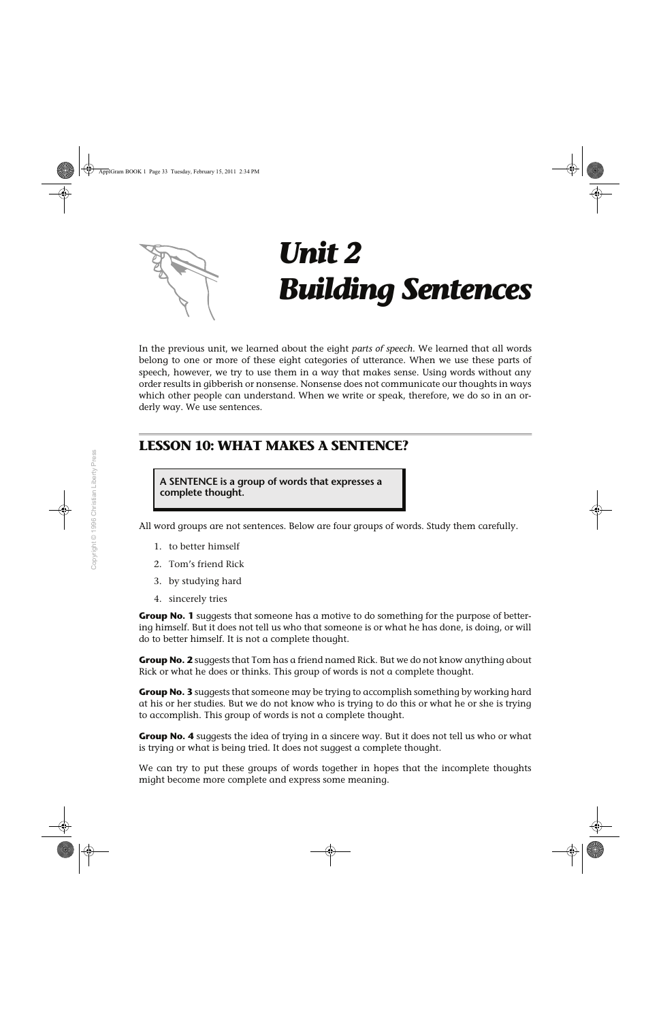

# *Unit 2 Building Sentences*

In the previous unit, we learned about the eight *parts of speech*. We learned that all words belong to one or more of these eight categories of utterance. When we use these parts of speech, however, we try to use them in a way that makes sense. Using words without any order results in gibberish or nonsense. Nonsense does not communicate our thoughts in ways which other people can understand. When we write or speak, therefore, we do so in an orderly way. We use sentences.

# **LESSON 10: WHAT MAKES A SENTENCE?**

**A SENTENCE is a group of words that expresses a complete thought.**

All word groups are not sentences. Below are four groups of words. Study them carefully.

- 1. to better himself
- 2. Tom's friend Rick
- 3. by studying hard
- 4. sincerely tries

**Group No. 1** suggests that someone has a motive to do something for the purpose of bettering himself. But it does not tell us who that someone is or what he has done, is doing, or will do to better himself. It is not a complete thought.

**Group No. 2** suggests that Tom has a friend named Rick. But we do not know anything about Rick or what he does or thinks. This group of words is not a complete thought.

**Group No. 3** suggests that someone may be trying to accomplish something by working hard at his or her studies. But we do not know who is trying to do this or what he or she is trying to accomplish. This group of words is not a complete thought.

**Group No. 4** suggests the idea of trying in a sincere way. But it does not tell us who or what is trying or what is being tried. It does not suggest a complete thought.

We can try to put these groups of words together in hopes that the incomplete thoughts might become more complete and express some meaning.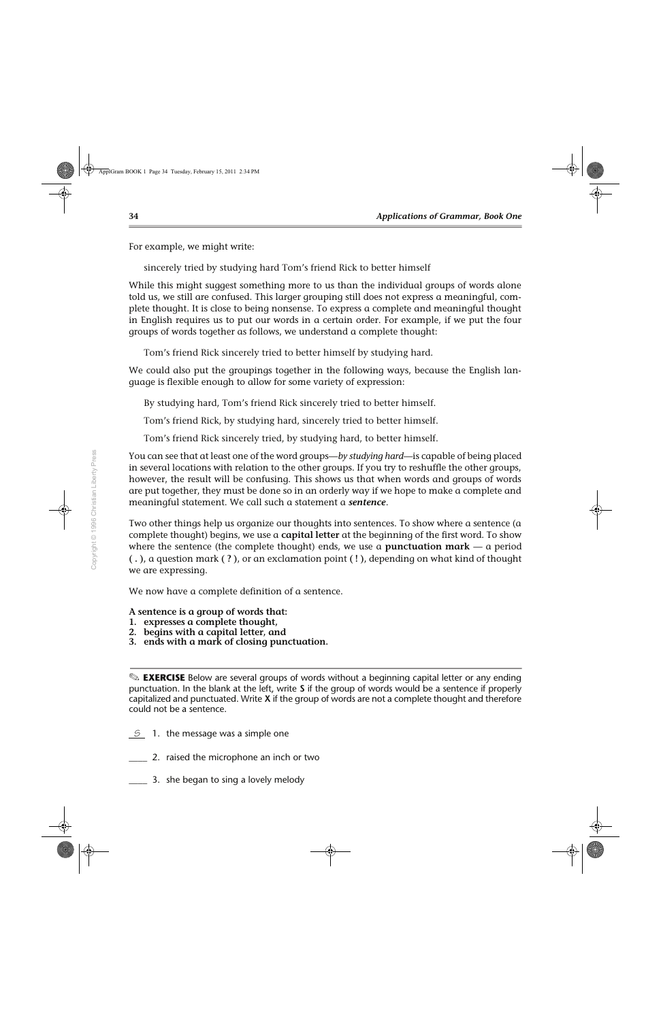For example, we might write:

sincerely tried by studying hard Tom's friend Rick to better himself

While this might suggest something more to us than the individual groups of words alone told us, we still are confused. This larger grouping still does not express a meaningful, complete thought. It is close to being nonsense. To express a complete and meaningful thought in English requires us to put our words in a certain order. For example, if we put the four groups of words together as follows, we understand a complete thought:

Tom's friend Rick sincerely tried to better himself by studying hard.

We could also put the groupings together in the following ways, because the English language is flexible enough to allow for some variety of expression:

By studying hard, Tom's friend Rick sincerely tried to better himself.

Tom's friend Rick, by studying hard, sincerely tried to better himself.

Tom's friend Rick sincerely tried, by studying hard, to better himself.

You can see that at least one of the word groups—*by studying hard*—is capable of being placed in several locations with relation to the other groups. If you try to reshuffle the other groups, however, the result will be confusing. This shows us that when words and groups of words are put together, they must be done so in an orderly way if we hope to make a complete and meaningful statement. We call such a statement a *sentence*.

Two other things help us organize our thoughts into sentences. To show where a sentence (a complete thought) begins, we use a **capital letter** at the beginning of the first word. To show where the sentence (the complete thought) ends, we use a **punctuation mark** — a period **( . )**, a question mark **( ? )**, or an exclamation point **( ! )**, depending on what kind of thought we are expressing.

We now have a complete definition of a sentence.

**A sentence is a group of words that:**

- **1. expresses a complete thought,**
- **2. begins with a capital letter, and**
- **3. ends with a mark of closing punctuation.**

✎ **EXERCISE** Below are several groups of words without a beginning capital letter or any ending punctuation. In the blank at the left, write **S** if the group of words would be a sentence if properly capitalized and punctuated. Write **X** if the group of words are not a complete thought and therefore could not be a sentence.

- *S* 1. the message was a simple one
- \_\_\_\_ 2. raised the microphone an inch or two
- \_\_\_\_ 3. she began to sing a lovely melody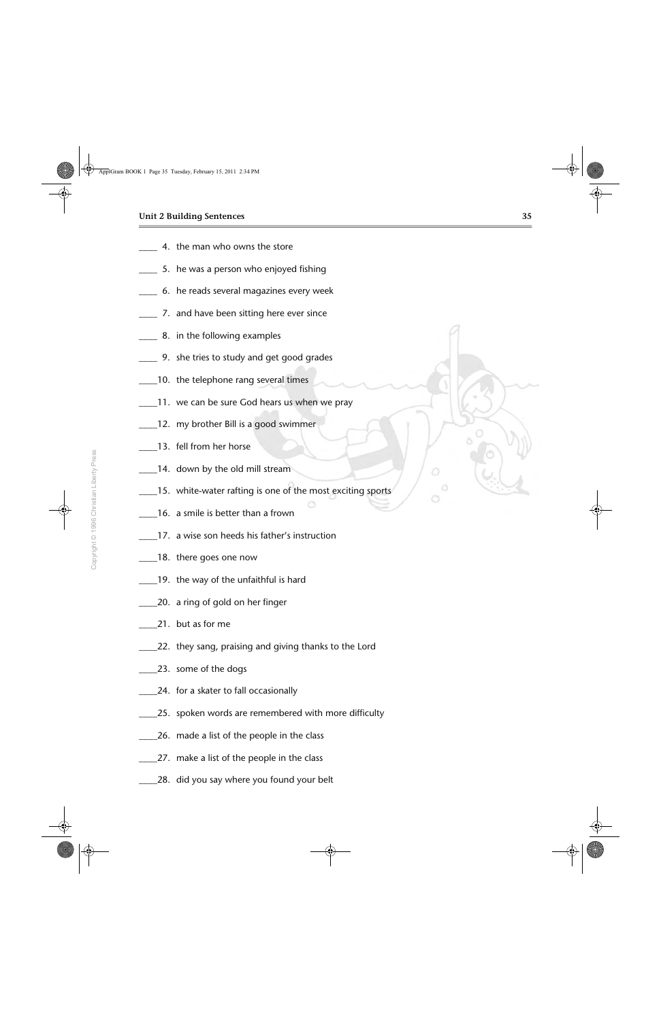- 4. the man who owns the store
- 5. he was a person who enjoyed fishing
- \_\_\_\_ 6. he reads several magazines every week
- \_\_\_\_ 7. and have been sitting here ever since
- \_\_\_\_ 8. in the following examples
- \_\_\_\_ 9. she tries to study and get good grades
- \_\_\_\_10. the telephone rang several times
- **11.** we can be sure God hears us when we pray
- \_\_\_\_12. my brother Bill is a good swimmer
- \_\_\_\_13. fell from her horse
- 14. down by the old mill stream
- \_\_\_\_15. white-water rafting is one of the most exciting sports
- \_\_\_\_16. a smile is better than a frown
- \_\_\_\_17. a wise son heeds his father's instruction
- \_\_\_\_18. there goes one now
- \_\_\_\_19. the way of the unfaithful is hard
- \_\_\_\_20. a ring of gold on her finger
- 21. but as for me
- \_\_\_\_22. they sang, praising and giving thanks to the Lord
- \_\_\_\_23. some of the dogs
- \_\_\_\_24. for a skater to fall occasionally
- 25. spoken words are remembered with more difficulty
- 26. made a list of the people in the class
- 27. make a list of the people in the class
- 28. did you say where you found your belt

O

ö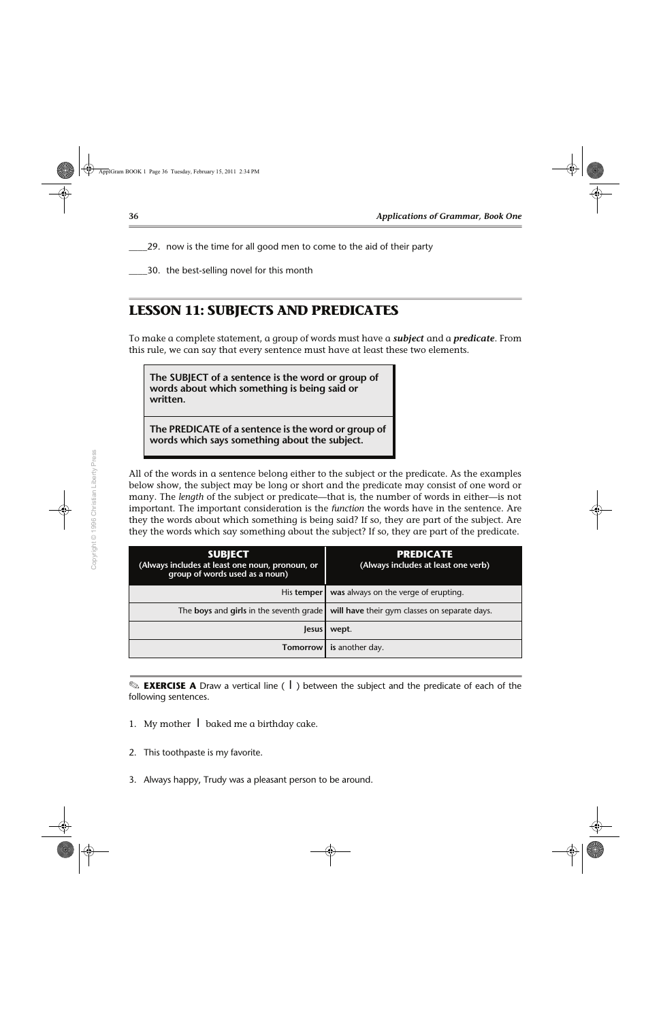- \_\_\_\_29. now is the time for all good men to come to the aid of their party
- \_\_\_\_30. the best-selling novel for this month

# **LESSON 11: SUBJECTS AND PREDICATES**

To make a complete statement, a group of words must have a *subject* and a *predicate*. From this rule, we can say that every sentence must have at least these two elements.

**The SUBJECT of a sentence is the word or group of words about which something is being said or written.**

**The PREDICATE of a sentence is the word or group of words which says something about the subject.**

All of the words in a sentence belong either to the subject or the predicate. As the examples below show, the subject may be long or short and the predicate may consist of one word or many. The *length* of the subject or predicate—that is, the number of words in either—is not important. The important consideration is the *function* the words have in the sentence. Are they the words about which something is being said? If so, they are part of the subject. Are they the words which say something about the subject? If so, they are part of the predicate.

| <b>SUBJECT</b><br>(Always includes at least one noun, pronoun, or<br>group of words used as a noun) | <b>PREDICATE</b><br>(Always includes at least one verb)                                       |
|-----------------------------------------------------------------------------------------------------|-----------------------------------------------------------------------------------------------|
|                                                                                                     | His <b>temper</b> $\vert$ was always on the verge of erupting.                                |
|                                                                                                     | The boys and girls in the seventh grade $\vert$ will have their gym classes on separate days. |
| <b>Jesus</b>                                                                                        | wept.                                                                                         |
|                                                                                                     | <b>Tomorrow</b> is another day.                                                               |

✎ **EXERCISE A** Draw a vertical line ( **|** ) between the subject and the predicate of each of the following sentences.

- 1. My mother **|** baked me a birthday cake.
- 2. This toothpaste is my favorite.
- 3. Always happy, Trudy was a pleasant person to be around.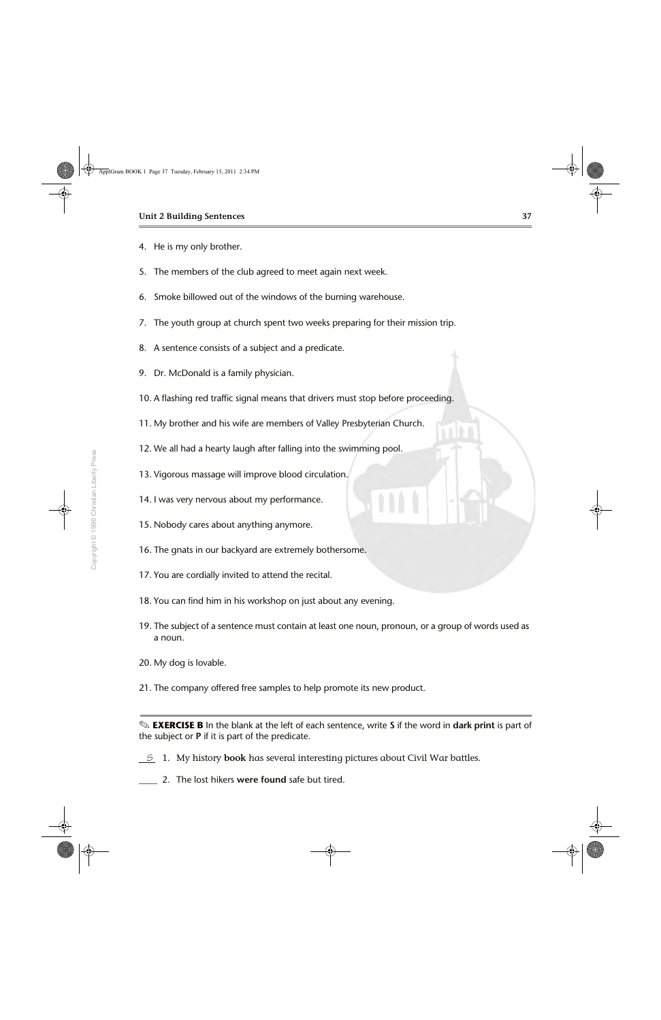- 4. He is my only brother.
- 5. The members of the club agreed to meet again next week.
- 6. Smoke billowed out of the windows of the burning warehouse.
- 7. The youth group at church spent two weeks preparing for their mission trip.
- 8. A sentence consists of a subject and a predicate.
- 9. Dr. McDonald is a family physician.
- 10. A flashing red traffic signal means that drivers must stop before proceeding.
- 11. My brother and his wife are members of Valley Presbyterian Church.
- 12. We all had a hearty laugh after falling into the swimming pool.
- 13. Vigorous massage will improve blood circulation.
- 14. I was very nervous about my performance.
- 15. Nobody cares about anything anymore.
- 16. The gnats in our backyard are extremely bothersome.
- 17. You are cordially invited to attend the recital.
- 18. You can find him in his workshop on just about any evening.
- 19. The subject of a sentence must contain at least one noun, pronoun, or a group of words used as a noun.
- 20. My dog is lovable.
- 21. The company offered free samples to help promote its new product.

- *S* 1. My history **book** has several interesting pictures about Civil War battles.
	- \_\_\_\_ 2. The lost hikers **were found** safe but tired.

<sup>✎</sup> **EXERCISE B** In the blank at the left of each sentence, write **S** if the word in **dark print** is part of the subject or **P** if it is part of the predicate.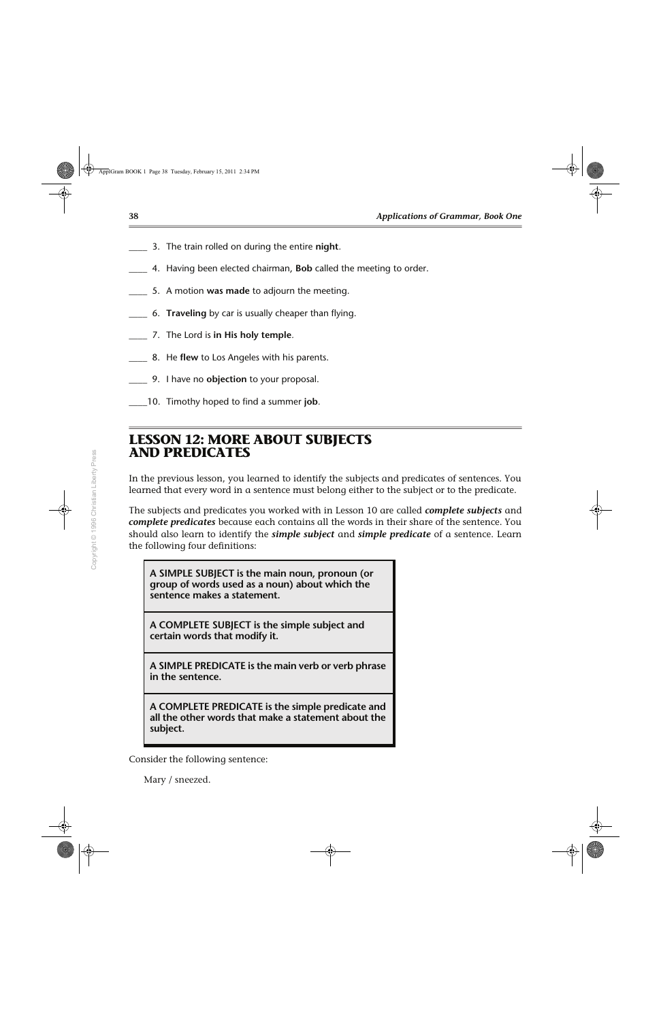- \_\_\_\_ 3. The train rolled on during the entire **night***.*
- \_\_\_\_ 4. Having been elected chairman, **Bob** called the meeting to order.
- \_\_\_\_ 5. A motion **was made** to adjourn the meeting.
- \_\_\_\_ 6. **Traveling** by car is usually cheaper than flying.
- \_\_\_\_ 7. The Lord is **in His holy temple***.*
- \_\_\_\_ 8. He **flew** to Los Angeles with his parents.
- \_\_\_\_ 9. I have no **objection** to your proposal.
- \_\_\_\_10. Timothy hoped to find a summer **job***.*

## **LESSON 12: MORE ABOUT SUBJECTS AND PREDICATES**

In the previous lesson, you learned to identify the subjects and predicates of sentences. You learned that every word in a sentence must belong either to the subject or to the predicate.

The subjects and predicates you worked with in Lesson 10 are called *complete subjects* and *complete predicates* because each contains all the words in their share of the sentence. You should also learn to identify the *simple subject* and *simple predicate* of a sentence. Learn the following four definitions:

**A SIMPLE SUBJECT is the main noun, pronoun (or group of words used as a noun) about which the sentence makes a statement.**

**A COMPLETE SUBJECT is the simple subject and certain words that modify it.**

**A SIMPLE PREDICATE is the main verb or verb phrase in the sentence.**

**A COMPLETE PREDICATE is the simple predicate and all the other words that make a statement about the subject.**

Consider the following sentence:

Mary / sneezed.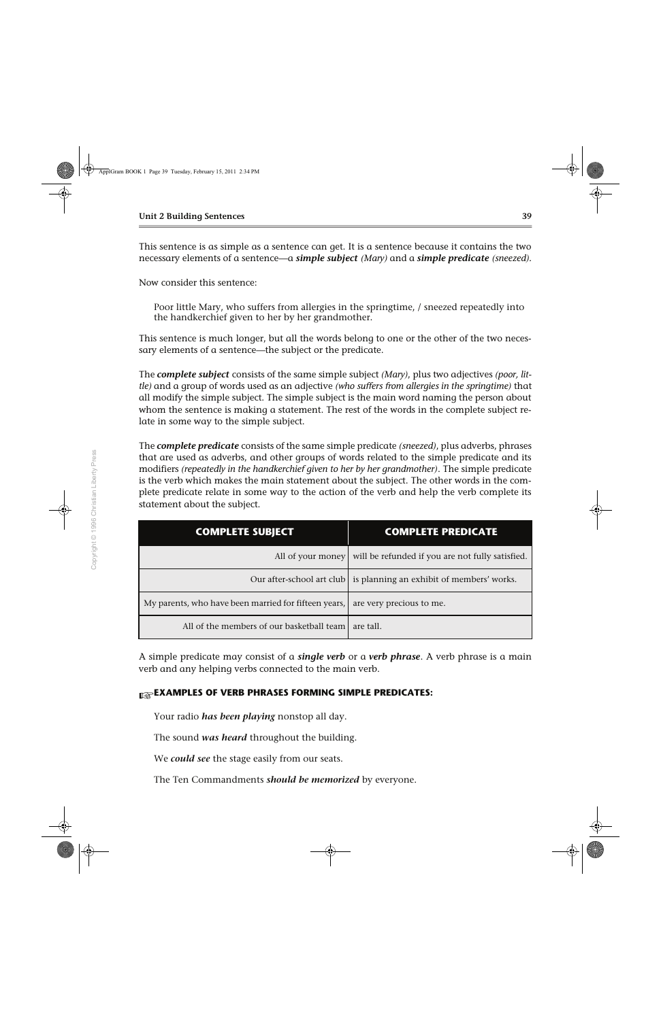This sentence is as simple as a sentence can get. It is a sentence because it contains the two necessary elements of a sentence—a *simple subject (Mary)* and a *simple predicate (sneezed).*

Now consider this sentence:

Poor little Mary, who suffers from allergies in the springtime, / sneezed repeatedly into the handkerchief given to her by her grandmother.

This sentence is much longer, but all the words belong to one or the other of the two necessary elements of a sentence—the subject or the predicate.

The *complete subject* consists of the same simple subject *(Mary)*, plus two adjectives *(poor, little)* and a group of words used as an adjective *(who suffers from allergies in the springtime)* that all modify the simple subject. The simple subject is the main word naming the person about whom the sentence is making a statement. The rest of the words in the complete subject relate in some way to the simple subject.

The *complete predicate* consists of the same simple predicate *(sneezed)*, plus adverbs, phrases that are used as adverbs, and other groups of words related to the simple predicate and its modifiers *(repeatedly in the handkerchief given to her by her grandmother)*. The simple predicate is the verb which makes the main statement about the subject. The other words in the complete predicate relate in some way to the action of the verb and help the verb complete its statement about the subject.

| <b>COMPLETE SUBJECT</b>                              | <b>COMPLETE PREDICATE</b>                                             |
|------------------------------------------------------|-----------------------------------------------------------------------|
| All of your money                                    | will be refunded if you are not fully satisfied.                      |
|                                                      | Our after-school art club   is planning an exhibit of members' works. |
| My parents, who have been married for fifteen years, | are very precious to me.                                              |
| All of the members of our basketball team            | are tall.                                                             |

A simple predicate may consist of a *single verb* or a *verb phrase*. A verb phrase is a main verb and any helping verbs connected to the main verb.

#### ☞**EXAMPLES OF VERB PHRASES FORMING SIMPLE PREDICATES:**

Your radio *has been playing* nonstop all day.

The sound *was heard* throughout the building.

We *could see* the stage easily from our seats.

The Ten Commandments *should be memorized* by everyone.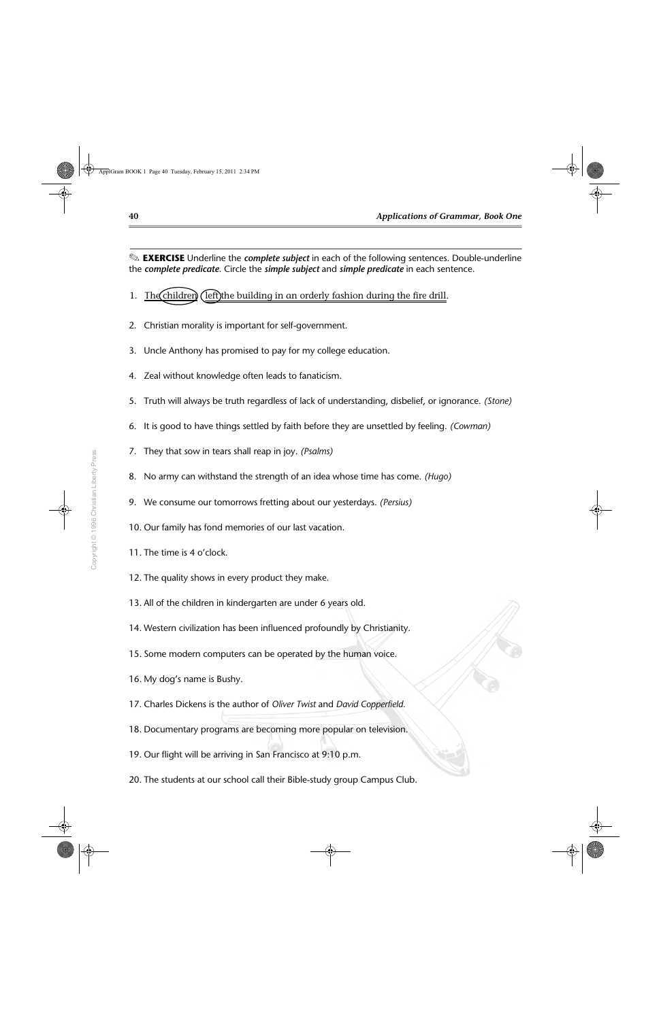✎ **EXERCISE** Underline the *complete subject* in each of the following sentences. Double-underline the *complete predicate*. Circle the *simple subject* and *simple predicate* in each sentence.

- 1. The children (left) the building in an orderly fashion during the fire drill.
- 2. Christian morality is important for self-government.
- 3. Uncle Anthony has promised to pay for my college education.
- 4. Zeal without knowledge often leads to fanaticism.
- 5. Truth will always be truth regardless of lack of understanding, disbelief, or ignorance. *(Stone)*
- 6. It is good to have things settled by faith before they are unsettled by feeling. *(Cowman)*
- 7. They that sow in tears shall reap in joy. *(Psalms)*
- 8. No army can withstand the strength of an idea whose time has come. *(Hugo)*
- 9. We consume our tomorrows fretting about our yesterdays. *(Persius)*
- 10. Our family has fond memories of our last vacation.
- 11. The time is 4 o'clock.
- 12. The quality shows in every product they make.
- 13. All of the children in kindergarten are under 6 years old.
- 14. Western civilization has been influenced profoundly by Christianity.
- 15. Some modern computers can be operated by the human voice.
- 16. My dog's name is Bushy.
- 17. Charles Dickens is the author of *Oliver Twist* and *David Copperfield.*
- 18. Documentary programs are becoming more popular on television.
- 19. Our flight will be arriving in San Francisco at 9:10 p.m.
- 20. The students at our school call their Bible-study group Campus Club.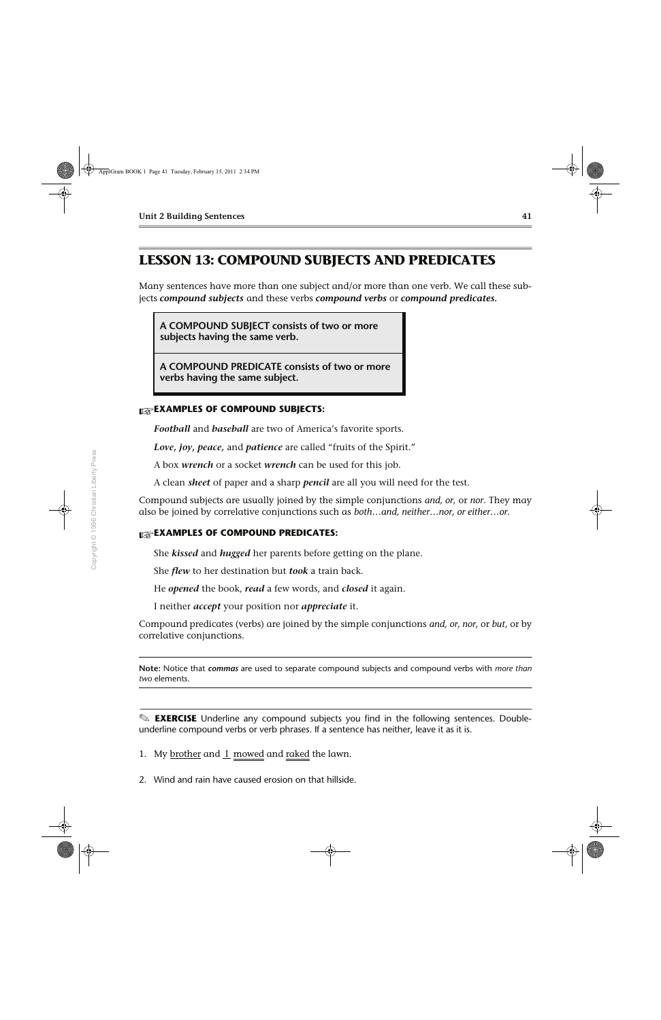# **LESSON 13: COMPOUND SUBJECTS AND PREDICATES**

Many sentences have more than one subject and/or more than one verb. We call these subjects *compound subjects* and these verbs *compound verbs* or *compound predicates.*

**A COMPOUND SUBJECT consists of two or more subjects having the same verb.**

**A COMPOUND PREDICATE consists of two or more verbs having the same subject.**

#### ☞**EXAMPLES OF COMPOUND SUBJECTS:**

*Football* and *baseball* are two of America's favorite sports.

*Love, joy, peace,* and *patience* are called "fruits of the Spirit."

A box *wrench* or a socket *wrench* can be used for this job.

A clean *sheet* of paper and a sharp *pencil* are all you will need for the test.

Compound subjects are usually joined by the simple conjunctions *and, or,* or *nor*. They may also be joined by correlative conjunctions such as *both…and, neither…nor, or either…or.*

#### ☞**EXAMPLES OF COMPOUND PREDICATES:**

She *kissed* and *hugged* her parents before getting on the plane.

She *flew* to her destination but *took* a train back.

He *opened* the book, *read* a few words, and *closed* it again.

I neither *accept* your position nor *appreciate* it.

Compound predicates (verbs) are joined by the simple conjunctions *and, or, nor,* or *but*, or by correlative conjunctions.

**Note:** Notice that *commas* are used to separate compound subjects and compound verbs with *more than two* elements.

✎ **EXERCISE** Underline any compound subjects you find in the following sentences. Doubleunderline compound verbs or verb phrases. If a sentence has neither, leave it as it is.

- 1. My brother and I mowed and raked the lawn.
- 2. Wind and rain have caused erosion on that hillside.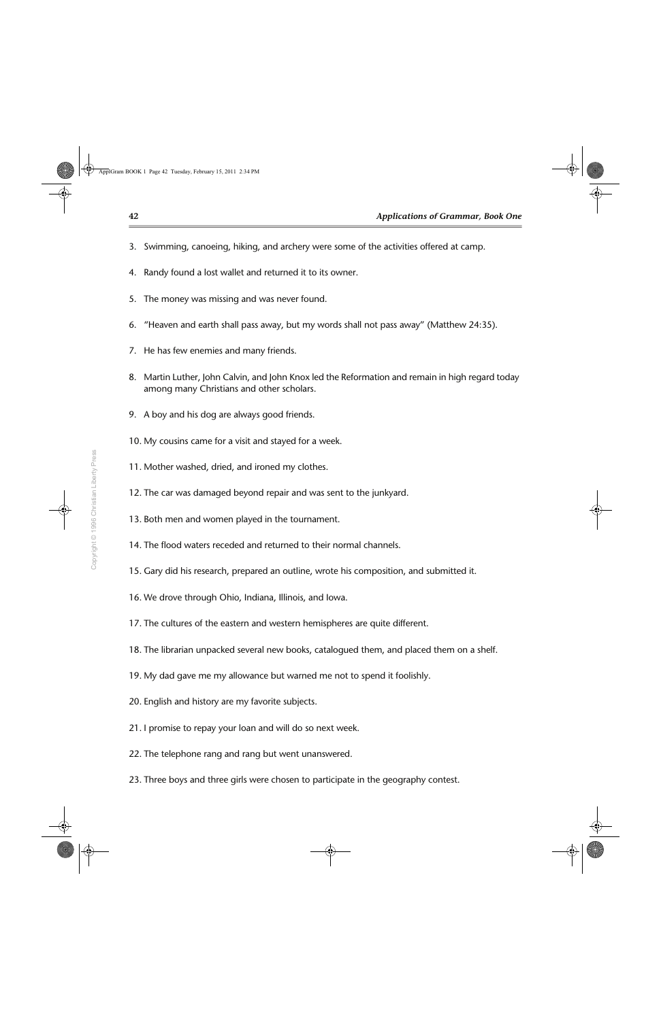- 3. Swimming, canoeing, hiking, and archery were some of the activities offered at camp.
- 4. Randy found a lost wallet and returned it to its owner.
- 5. The money was missing and was never found.
- 6. "Heaven and earth shall pass away, but my words shall not pass away" (Matthew 24:35).
- 7. He has few enemies and many friends.
- 8. Martin Luther, John Calvin, and John Knox led the Reformation and remain in high regard today among many Christians and other scholars.
- 9. A boy and his dog are always good friends.
- 10. My cousins came for a visit and stayed for a week.
- 11. Mother washed, dried, and ironed my clothes.
- 12. The car was damaged beyond repair and was sent to the junkyard.
- 13. Both men and women played in the tournament.
- 14. The flood waters receded and returned to their normal channels.
- 15. Gary did his research, prepared an outline, wrote his composition, and submitted it.
- 16. We drove through Ohio, Indiana, Illinois, and Iowa.
- 17. The cultures of the eastern and western hemispheres are quite different.
- 18. The librarian unpacked several new books, catalogued them, and placed them on a shelf.
- 19. My dad gave me my allowance but warned me not to spend it foolishly.
- 20. English and history are my favorite subjects.
- 21. I promise to repay your loan and will do so next week.
- 22. The telephone rang and rang but went unanswered.
- 23. Three boys and three girls were chosen to participate in the geography contest.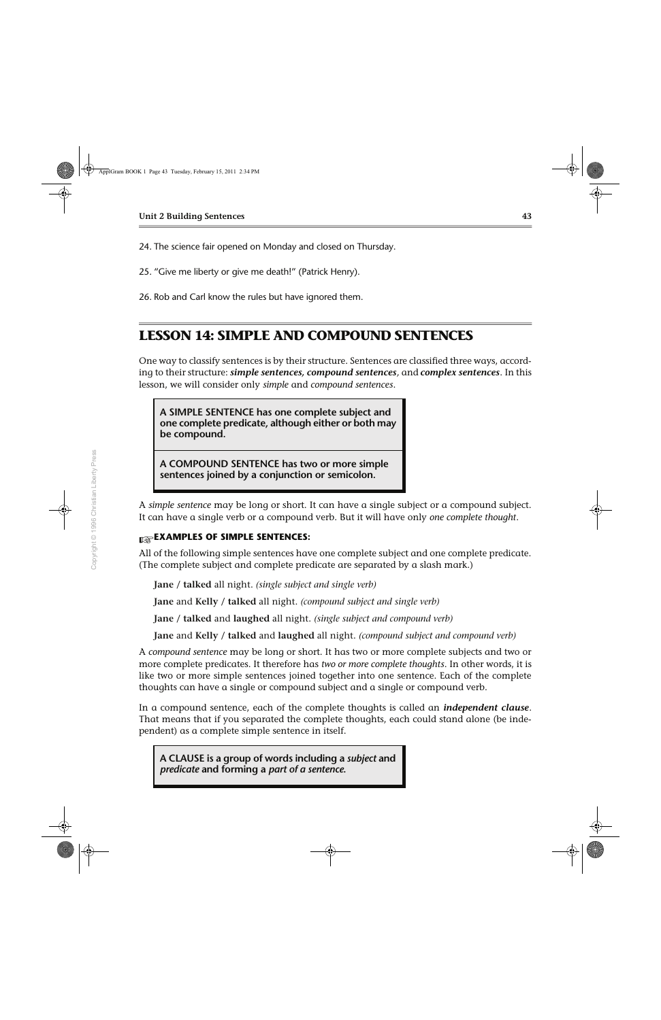- 25. "Give me liberty or give me death!" (Patrick Henry).
- 26. Rob and Carl know the rules but have ignored them.

### **LESSON 14: SIMPLE AND COMPOUND SENTENCES**

One way to classify sentences is by their structure. Sentences are classified three ways, according to their structure: *simple sentences, compound sentences,* and *complex sentences*. In this lesson, we will consider only *simple* and *compound sentences*.

**A SIMPLE SENTENCE has one complete subject and one complete predicate, although either or both may be compound.**

**A COMPOUND SENTENCE has two or more simple sentences joined by a conjunction or semicolon.**

A *simple sentence* may be long or short. It can have a single subject or a compound subject. It can have a single verb or a compound verb. But it will have only *one complete thought*.

#### ☞**EXAMPLES OF SIMPLE SENTENCES:**

All of the following simple sentences have one complete subject and one complete predicate. (The complete subject and complete predicate are separated by a slash mark.)

**Jane / talked** all night. *(single subject and single verb)*

**Jane** and **Kelly / talked** all night. *(compound subject and single verb)*

**Jane / talked** and **laughed** all night. *(single subject and compound verb)*

**Jane** and **Kelly / talked** and **laughed** all night. *(compound subject and compound verb)*

A *compound sentence* may be long or short. It has two or more complete subjects and two or more complete predicates. It therefore has *two or more complete thoughts*. In other words, it is like two or more simple sentences joined together into one sentence. Each of the complete thoughts can have a single or compound subject and a single or compound verb.

In a compound sentence, each of the complete thoughts is called an *independent clause*. That means that if you separated the complete thoughts, each could stand alone (be independent) as a complete simple sentence in itself.

**A CLAUSE is a group of words including a** *subject* **and**  *predicate* **and forming a** *part of a sentence***.**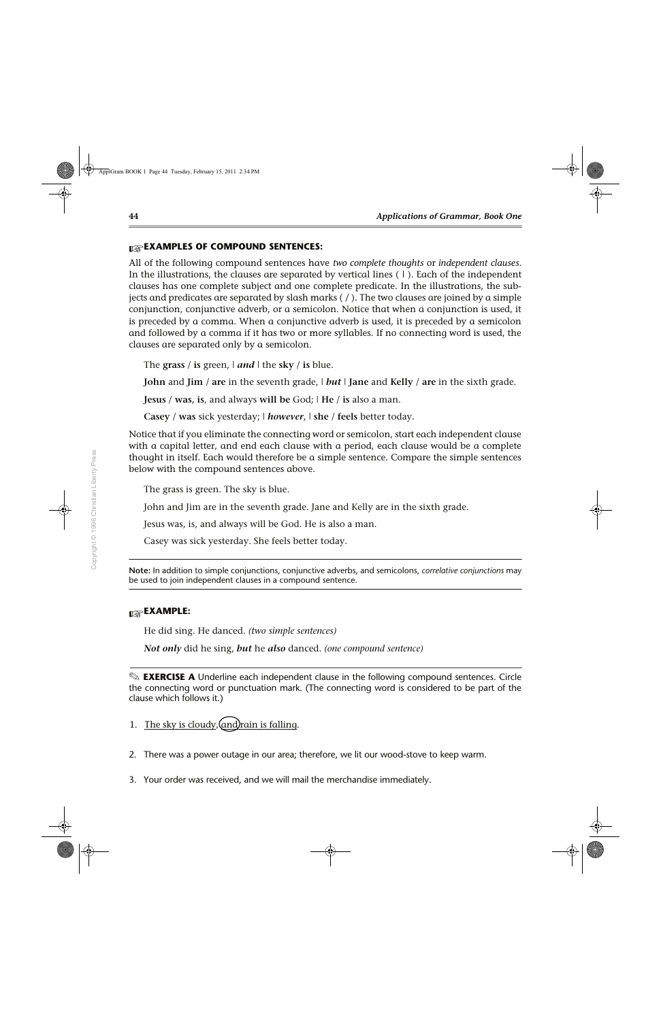#### ☞**EXAMPLES OF COMPOUND SENTENCES:**

All of the following compound sentences have *two complete thoughts* or *independent clauses*. In the illustrations, the clauses are separated by vertical lines ( **|** ). Each of the independent clauses has one complete subject and one complete predicate. In the illustrations, the subjects and predicates are separated by slash marks ( **/** ). The two clauses are joined by a simple conjunction, conjunctive adverb, or a semicolon. Notice that when a conjunction is used, it is preceded by a comma. When a conjunctive adverb is used, it is preceded by a semicolon and followed by a comma if it has two or more syllables. If no connecting word is used, the clauses are separated only by a semicolon.

The **grass** / **is** green, | *and* | the **sky** / **is** blue.

**John** and **Jim** / **are** in the seventh grade, | *but* | **Jane** and **Kelly** / **are** in the sixth grade.

**Jesus** / **was, is**, and always **will be** God; | **He** / **is** also a man.

**Casey** / **was** sick yesterday; | *however*, | **she** / **feels** better today.

Notice that if you eliminate the connecting word or semicolon, start each independent clause with a capital letter, and end each clause with a period, each clause would be a complete thought in itself. Each would therefore be a simple sentence. Compare the simple sentences below with the compound sentences above.

The grass is green. The sky is blue.

John and Jim are in the seventh grade. Jane and Kelly are in the sixth grade.

Jesus was, is, and always will be God. He is also a man.

Casey was sick yesterday. She feels better today.

**Note:** In addition to simple conjunctions, conjunctive adverbs, and semicolons, *correlative conjunctions* may be used to join independent clauses in a compound sentence.

#### ☞**EXAMPLE:**

He did sing. He danced. *(two simple sentences)*

*Not only* did he sing, *but* he *also* danced. *(one compound sentence)*

✎ **EXERCISE A** Underline each independent clause in the following compound sentences. Circle the connecting word or punctuation mark. (The connecting word is considered to be part of the clause which follows it.)

- 1. The sky is cloudy,  $\frac{and}{.}$  is falling.
- 2. There was a power outage in our area; therefore, we lit our wood-stove to keep warm.
- 3. Your order was received, and we will mail the merchandise immediately.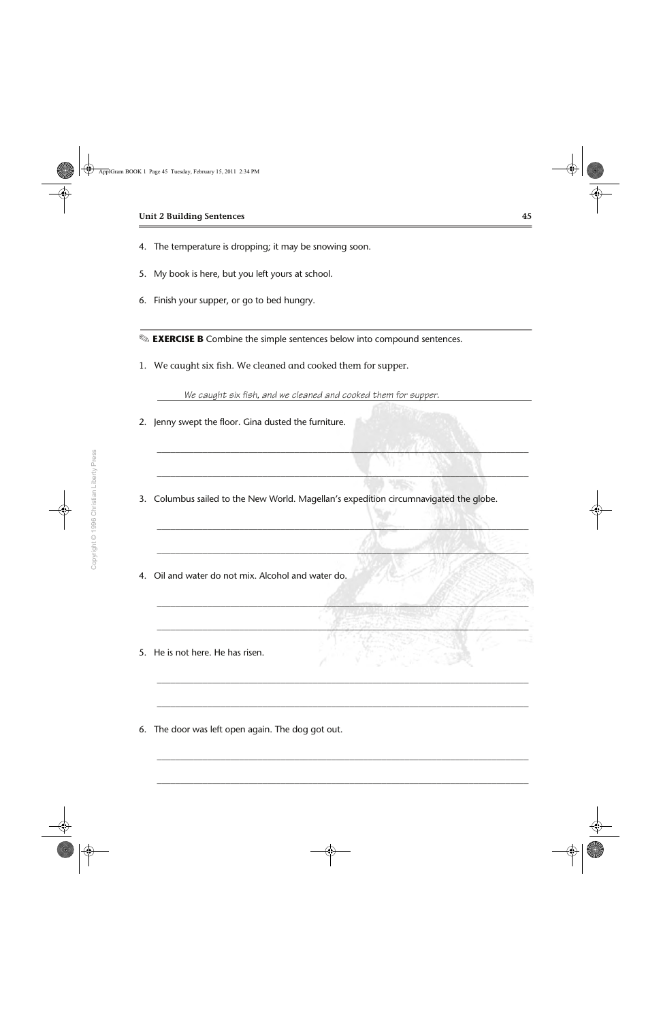- 4. The temperature is dropping; it may be snowing soon.
- 5. My book is here, but you left yours at school.
- 6. Finish your supper, or go to bed hungry.

✎ **EXERCISE B** Combine the simple sentences below into compound sentences.

1. We caught six fish. We cleaned and cooked them for supper.

 *We caught six fish, and we cleaned and cooked them for supper.* 

2. Jenny swept the floor. Gina dusted the furniture.

3. Columbus sailed to the New World. Magellan's expedition circumnavigated the globe.

\_\_\_\_\_\_\_\_\_\_\_\_\_\_\_\_\_\_\_\_\_\_\_\_\_\_\_\_\_\_\_\_\_\_\_\_\_\_\_\_\_\_\_\_\_\_\_\_\_\_\_\_\_\_\_\_\_\_\_\_\_\_\_\_\_\_\_\_\_\_\_\_\_\_\_\_\_\_\_\_\_

\_\_\_\_\_\_\_\_\_\_\_\_\_\_\_\_\_\_\_\_\_\_\_\_\_\_\_\_\_\_\_\_\_\_\_\_\_\_\_\_\_\_\_\_\_\_\_\_\_\_\_\_\_\_\_\_\_\_\_\_\_\_\_\_\_\_\_\_\_\_\_\_\_\_\_\_\_\_\_\_\_

\_\_\_\_\_\_\_\_\_\_\_\_\_\_\_\_\_\_\_\_\_\_\_\_\_\_\_\_\_\_\_\_\_\_\_\_\_\_\_\_\_\_\_\_\_\_\_\_\_\_\_\_\_\_\_\_\_\_\_\_\_\_\_\_\_\_\_\_\_\_\_\_\_\_\_\_\_\_\_\_\_

\_\_\_\_\_\_\_\_\_\_\_\_\_\_\_\_\_\_\_\_\_\_\_\_\_\_\_\_\_\_\_\_\_\_\_\_\_\_\_\_\_\_\_\_\_\_\_\_\_\_\_\_\_\_\_\_\_\_\_\_\_\_\_\_\_\_\_\_\_\_\_\_\_\_\_\_\_\_\_\_\_

\_\_\_\_\_\_\_\_\_\_\_\_\_\_\_\_\_\_\_\_\_\_\_\_\_\_\_\_\_\_\_\_\_\_\_\_\_\_\_\_\_\_\_\_\_\_\_\_\_\_\_\_\_\_\_\_\_\_\_\_\_\_\_\_\_\_\_\_\_\_\_\_\_\_\_\_\_\_\_\_\_

\_\_\_\_\_\_\_\_\_\_\_\_\_\_\_\_\_\_\_\_\_\_\_\_\_\_\_\_\_\_\_\_\_\_\_\_\_\_\_\_\_\_\_\_\_\_\_\_\_\_\_\_\_\_\_\_\_\_\_\_\_\_\_\_\_\_\_\_\_\_\_\_\_\_\_\_\_\_\_\_\_

\_\_\_\_\_\_\_\_\_\_\_\_\_\_\_\_\_\_\_\_\_\_\_\_\_\_\_\_\_\_\_\_\_\_\_\_\_\_\_\_\_\_\_\_\_\_\_\_\_\_\_\_\_\_\_\_\_\_\_\_\_\_\_\_\_\_\_\_\_\_\_\_\_\_\_\_\_\_\_\_\_

\_\_\_\_\_\_\_\_\_\_\_\_\_\_\_\_\_\_\_\_\_\_\_\_\_\_\_\_\_\_\_\_\_\_\_\_\_\_\_\_\_\_\_\_\_\_\_\_\_\_\_\_\_\_\_\_\_\_\_\_\_\_\_\_\_\_\_\_\_\_\_\_\_\_\_\_\_\_\_\_\_

\_\_\_\_\_\_\_\_\_\_\_\_\_\_\_\_\_\_\_\_\_\_\_\_\_\_\_\_\_\_\_\_\_\_\_\_\_\_\_\_\_\_\_\_\_\_\_\_\_\_\_\_\_\_\_\_\_\_\_\_\_\_\_\_\_\_\_\_\_\_\_\_\_\_\_\_\_\_\_\_\_

\_\_\_\_\_\_\_\_\_\_\_\_\_\_\_\_\_\_\_\_\_\_\_\_\_\_\_\_\_\_\_\_\_\_\_\_\_\_\_\_\_\_\_\_\_\_\_\_\_\_\_\_\_\_\_\_\_\_\_\_\_\_\_\_\_\_\_\_\_\_\_\_\_\_\_\_\_\_\_\_\_

- 4. Oil and water do not mix. Alcohol and water do.
- 5. He is not here. He has risen.

6. The door was left open again. The dog got out.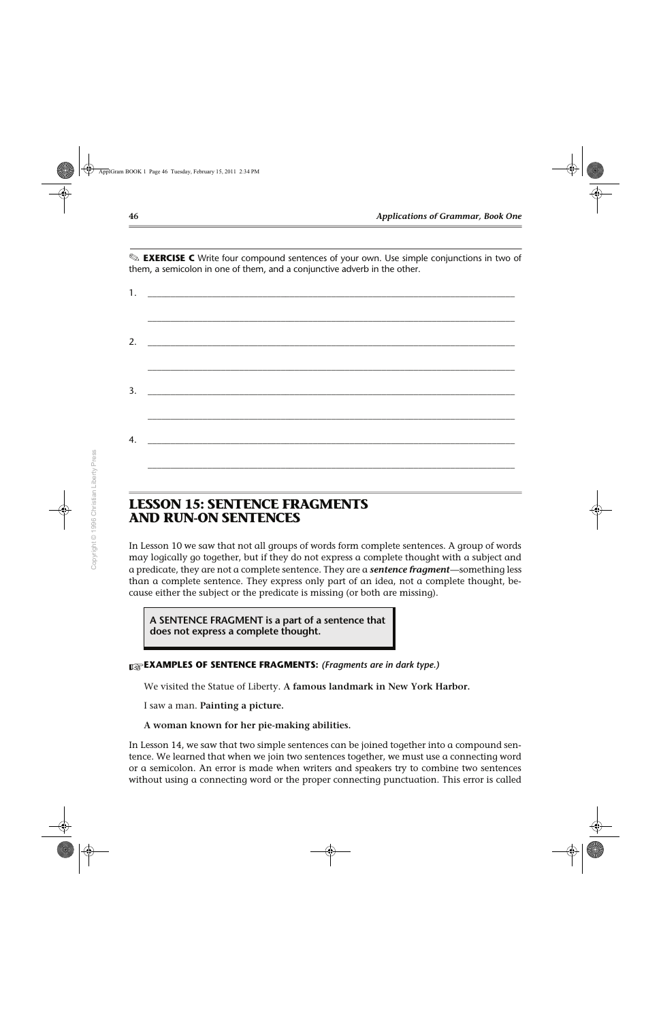✎ **EXERCISE C** Write four compound sentences of your own. Use simple conjunctions in two of them, a semicolon in one of them, and a conjunctive adverb in the other.

| 1. | <u> 1980 - Jan Barat, margaret amerikan basal dan berasal dari berasal dalam basal dan berasal dan berasal dan b</u> |  |
|----|----------------------------------------------------------------------------------------------------------------------|--|
|    |                                                                                                                      |  |
|    |                                                                                                                      |  |
|    |                                                                                                                      |  |
| 3. |                                                                                                                      |  |
|    |                                                                                                                      |  |
| 4. |                                                                                                                      |  |
|    |                                                                                                                      |  |
|    |                                                                                                                      |  |

#### **LESSON 15: SENTENCE FRAGMENTS AND RUN-ON SENTENCES**

In Lesson 10 we saw that not all groups of words form complete sentences. A group of words may logically go together, but if they do not express a complete thought with a subject and a predicate, they are not a complete sentence. They are a *sentence fragment*—something less than a complete sentence. They express only part of an idea, not a complete thought, because either the subject or the predicate is missing (or both are missing).

**A SENTENCE FRAGMENT is a part of a sentence that does not express a complete thought.**

#### ☞**EXAMPLES OF SENTENCE FRAGMENTS:** *(Fragments are in dark type.)*

We visited the Statue of Liberty. **A famous landmark in New York Harbor.**

I saw a man. **Painting a picture.**

#### **A woman known for her pie-making abilities.**

In Lesson 14, we saw that two simple sentences can be joined together into a compound sentence. We learned that when we join two sentences together, we must use a connecting word or a semicolon. An error is made when writers and speakers try to combine two sentences without using a connecting word or the proper connecting punctuation. This error is called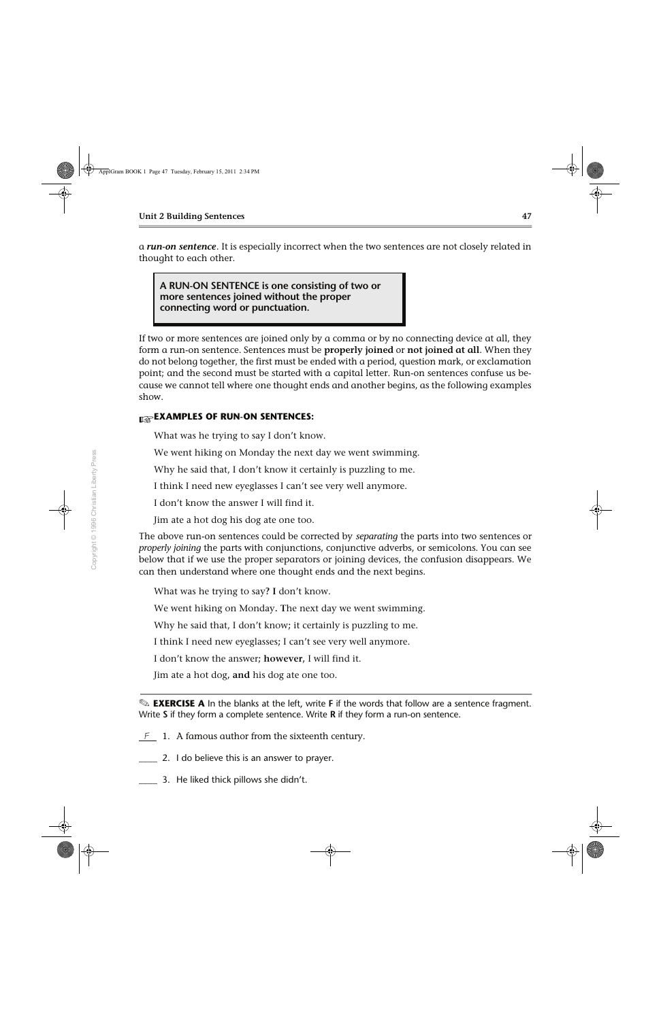a *run-on sentence*. It is especially incorrect when the two sentences are not closely related in thought to each other.

**A RUN-ON SENTENCE is one consisting of two or more sentences joined without the proper connecting word or punctuation.**

If two or more sentences are joined only by a comma or by no connecting device at all, they form a run-on sentence. Sentences must be **properly joined** or **not joined at all**. When they do not belong together, the first must be ended with a period, question mark, or exclamation point; and the second must be started with a capital letter. Run-on sentences confuse us because we cannot tell where one thought ends and another begins, as the following examples show.

#### ☞**EXAMPLES OF RUN-ON SENTENCES:**

What was he trying to say I don't know.

We went hiking on Monday the next day we went swimming.

Why he said that, I don't know it certainly is puzzling to me.

I think I need new eyeglasses I can't see very well anymore.

I don't know the answer I will find it.

Jim ate a hot dog his dog ate one too.

The above run-on sentences could be corrected by *separating* the parts into two sentences or *properly joining* the parts with conjunctions, conjunctive adverbs, or semicolons. You can see below that if we use the proper separators or joining devices, the confusion disappears. We can then understand where one thought ends and the next begins.

What was he trying to say**? I** don't know.

We went hiking on Monday**. T**he next day we went swimming.

Why he said that, I don't know**;** it certainly is puzzling to me.

I think I need new eyeglasses**;** I can't see very well anymore.

I don't know the answer**; however,** I will find it.

Jim ate a hot dog**, and** his dog ate one too.

✎ **EXERCISE A** In the blanks at the left, write **F** if the words that follow are a sentence fragment. Write **S** if they form a complete sentence. Write **R** if they form a run-on sentence.

- *F* 1. A famous author from the sixteenth century.
- \_\_\_\_ 2. I do believe this is an answer to prayer.
- \_\_\_\_ 3. He liked thick pillows she didn't.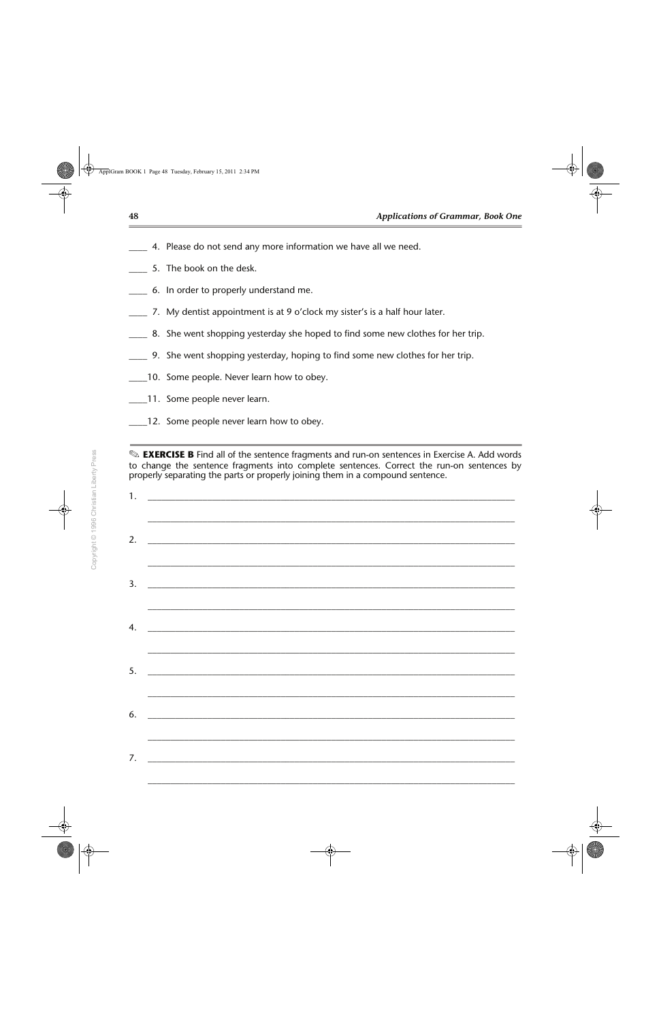- 4. Please do not send any more information we have all we need.
- \_\_\_\_ 5. The book on the desk.
- \_\_\_\_ 6. In order to properly understand me.
- \_\_\_\_ 7. My dentist appointment is at 9 o'clock my sister's is a half hour later.
- 8. She went shopping yesterday she hoped to find some new clothes for her trip.
- \_\_\_\_ 9. She went shopping yesterday, hoping to find some new clothes for her trip.
- \_\_\_\_10. Some people. Never learn how to obey.
- \_\_\_\_11. Some people never learn.
- \_\_\_\_12. Some people never learn how to obey.

✎ **EXERCISE B** Find all of the sentence fragments and run-on sentences in Exercise A. Add words to change the sentence fragments into complete sentences. Correct the run-on sentences by properly separating the parts or properly joining them in a compound sentence.

| $1.$ $\qquad \qquad$ |                                                                                                                      |  |
|----------------------|----------------------------------------------------------------------------------------------------------------------|--|
|                      |                                                                                                                      |  |
| 2.                   |                                                                                                                      |  |
|                      |                                                                                                                      |  |
|                      |                                                                                                                      |  |
|                      |                                                                                                                      |  |
|                      |                                                                                                                      |  |
| 4.                   |                                                                                                                      |  |
|                      |                                                                                                                      |  |
|                      |                                                                                                                      |  |
| 5.                   |                                                                                                                      |  |
|                      |                                                                                                                      |  |
| 6.                   |                                                                                                                      |  |
|                      |                                                                                                                      |  |
|                      |                                                                                                                      |  |
| 7.                   | <u> 2001 - Jan James James Barnett, martin de la provincia de la provincia de la provincia de la provincia de la</u> |  |
|                      |                                                                                                                      |  |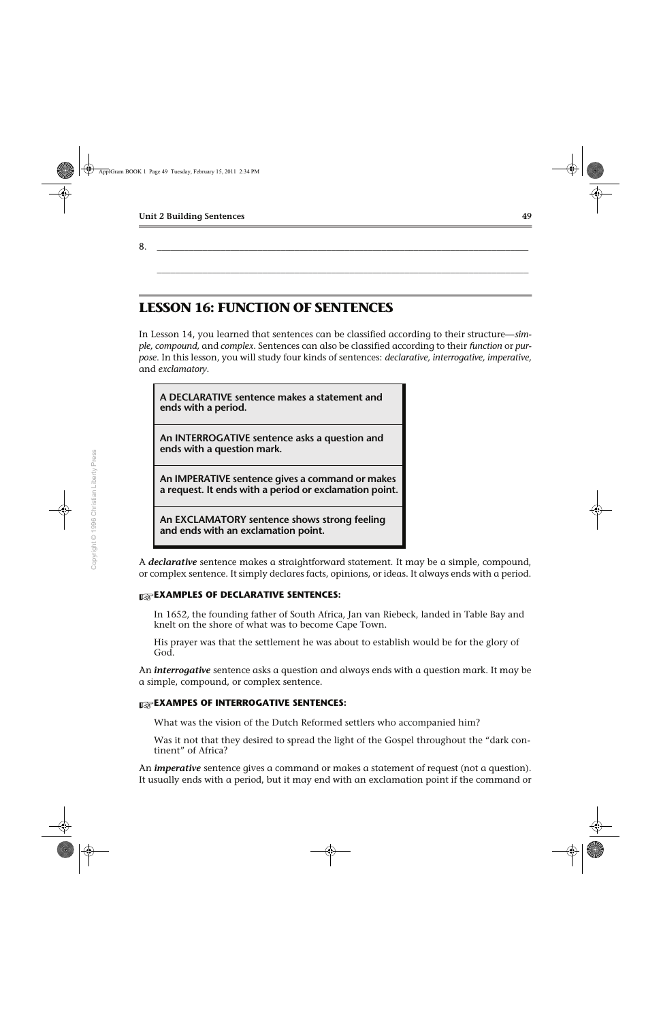8. \_\_\_\_\_\_\_\_\_\_\_\_\_\_\_\_\_\_\_\_\_\_\_\_\_\_\_\_\_\_\_\_\_\_\_\_\_\_\_\_\_\_\_\_\_\_\_\_\_\_\_\_\_\_\_\_\_\_\_\_\_\_\_\_\_\_\_\_\_\_\_\_\_\_\_\_\_\_\_\_\_

#### **LESSON 16: FUNCTION OF SENTENCES**

In Lesson 14, you learned that sentences can be classified according to their structure—*simple, compound,* and *complex*. Sentences can also be classified according to their *function* or *purpose*. In this lesson, you will study four kinds of sentences: *declarative, interrogative, imperative,* and *exclamatory*.

\_\_\_\_\_\_\_\_\_\_\_\_\_\_\_\_\_\_\_\_\_\_\_\_\_\_\_\_\_\_\_\_\_\_\_\_\_\_\_\_\_\_\_\_\_\_\_\_\_\_\_\_\_\_\_\_\_\_\_\_\_\_\_\_\_\_\_\_\_\_\_\_\_\_\_\_\_\_\_\_\_

**A DECLARATIVE sentence makes a statement and ends with a period. An INTERROGATIVE sentence asks a question and ends with a question mark. An IMPERATIVE sentence gives a command or makes a request. It ends with a period or exclamation point. An EXCLAMATORY sentence shows strong feeling and ends with an exclamation point.**

A *declarative* sentence makes a straightforward statement. It may be a simple, compound, or complex sentence. It simply declares facts, opinions, or ideas. It always ends with a period.

#### ☞**EXAMPLES OF DECLARATIVE SENTENCES:**

In 1652, the founding father of South Africa, Jan van Riebeck, landed in Table Bay and knelt on the shore of what was to become Cape Town.

His prayer was that the settlement he was about to establish would be for the glory of God.

An *interrogative* sentence asks a question and always ends with a question mark. It may be a simple, compound, or complex sentence.

#### ☞**EXAMPES OF INTERROGATIVE SENTENCES:**

What was the vision of the Dutch Reformed settlers who accompanied him?

Was it not that they desired to spread the light of the Gospel throughout the "dark continent" of Africa?

An *imperative* sentence gives a command or makes a statement of request (not a question). It usually ends with a period, but it may end with an exclamation point if the command or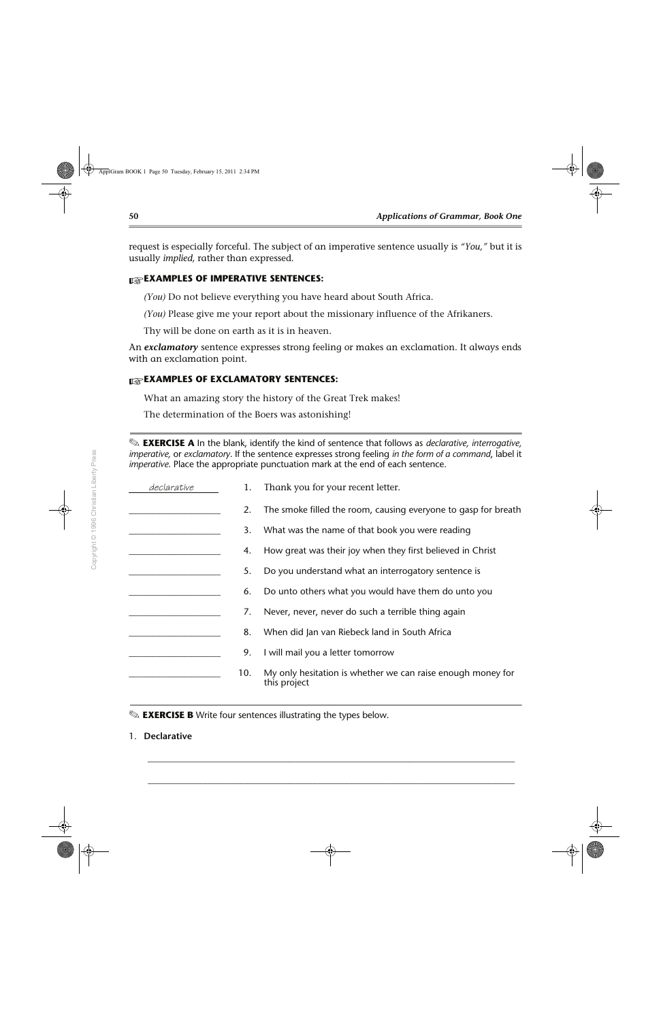request is especially forceful. The subject of an imperative sentence usually is *"You,"* but it is usually *implied,* rather than expressed.

#### ☞**EXAMPLES OF IMPERATIVE SENTENCES:**

*(You)* Do not believe everything you have heard about South Africa.

*(You)* Please give me your report about the missionary influence of the Afrikaners.

Thy will be done on earth as it is in heaven.

An *exclamatory* sentence expresses strong feeling or makes an exclamation. It always ends with an exclamation point.

#### ☞**EXAMPLES OF EXCLAMATORY SENTENCES:**

What an amazing story the history of the Great Trek makes!

The determination of the Boers was astonishing!

✎ **EXERCISE A** In the blank, identify the kind of sentence that follows as *declarative, interrogative, imperative,* or *exclamatory*. If the sentence expresses strong feeling *in the form of a command*, label it *imperative*. Place the appropriate punctuation mark at the end of each sentence.

| declarative | 1.  | Thank you for your recent letter.                                           |
|-------------|-----|-----------------------------------------------------------------------------|
|             | 2.  | The smoke filled the room, causing everyone to gasp for breath              |
|             | 3.  | What was the name of that book you were reading                             |
|             | 4.  | How great was their joy when they first believed in Christ                  |
|             | 5.  | Do you understand what an interrogatory sentence is                         |
|             | 6.  | Do unto others what you would have them do unto you                         |
|             | 7.  | Never, never, never do such a terrible thing again                          |
|             | 8.  | When did Jan van Riebeck land in South Africa                               |
|             | 9.  | I will mail you a letter tomorrow                                           |
|             | 10. | My only hesitation is whether we can raise enough money for<br>this project |

*\_\_\_\_\_\_\_\_\_\_\_\_\_\_\_\_\_\_\_\_\_\_\_\_\_\_\_\_\_\_\_\_\_\_\_\_\_\_\_\_\_\_\_\_\_\_\_\_\_\_\_\_\_\_\_\_\_\_\_\_\_\_\_\_\_\_\_\_\_\_\_\_\_\_\_\_\_\_\_\_*

\_\_\_\_\_\_\_\_\_\_\_\_\_\_\_\_\_\_\_\_\_\_\_\_\_\_\_\_\_\_\_\_\_\_\_\_\_\_\_\_\_\_\_\_\_\_\_\_\_\_\_\_\_\_\_\_\_\_\_\_\_\_\_\_\_\_\_\_\_\_\_\_\_\_\_\_\_\_\_\_

✎ **EXERCISE B** Write four sentences illustrating the types below.

#### 1. **Declarative**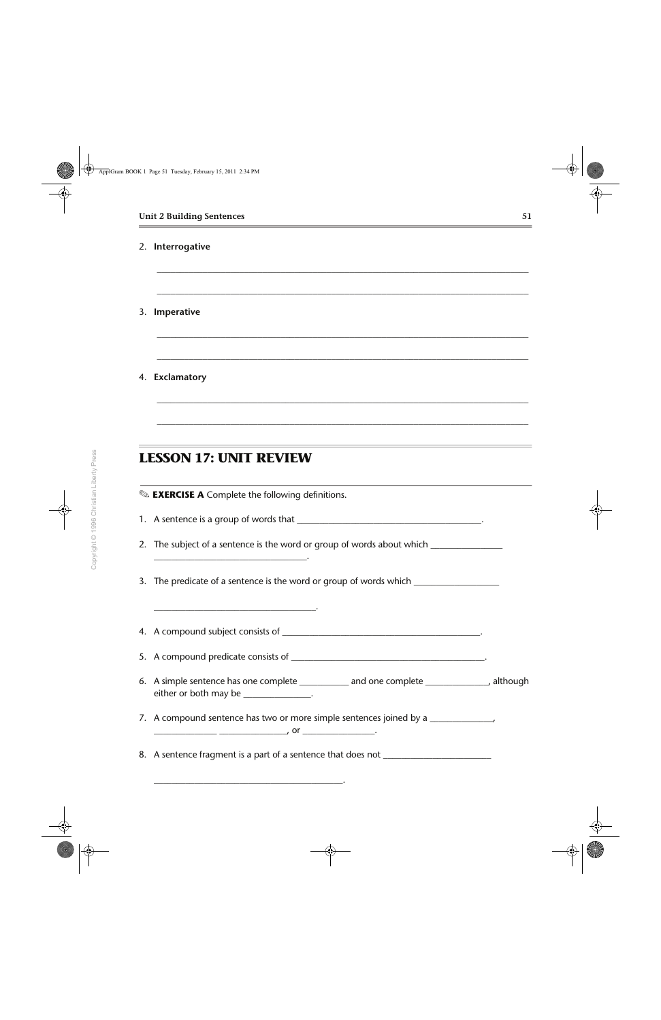#### 2. **Interrogative**

- 3. **Imperative**
- 4. **Exclamatory**

## **LESSON 17: UNIT REVIEW**

✎ **EXERCISE A** Complete the following definitions.

\_\_\_\_\_\_\_\_\_\_\_\_\_\_\_\_\_\_\_\_\_\_\_\_\_\_\_\_\_\_\_\_\_\_.

\_\_\_\_\_\_\_\_\_\_\_\_\_\_\_\_\_\_\_\_\_\_\_\_\_\_\_\_\_\_\_\_\_\_\_\_.

\_\_\_\_\_\_\_\_\_\_\_\_\_\_\_\_\_\_\_\_\_\_\_\_\_\_\_\_\_\_\_\_\_\_\_\_\_\_\_\_\_\_.

- 1. A sentence is a group of words that \_\_\_\_\_\_\_\_\_\_\_\_\_\_\_\_\_\_\_\_\_\_\_\_\_\_\_\_\_\_\_\_\_\_\_\_\_\_\_\_\_.
- 2. The subject of a sentence is the word or group of words about which \_\_\_\_\_\_\_\_\_\_

*\_\_\_\_\_\_\_\_\_\_\_\_\_\_\_\_\_\_\_\_\_\_\_\_\_\_\_\_\_\_\_\_\_\_\_\_\_\_\_\_\_\_\_\_\_\_\_\_\_\_\_\_\_\_\_\_\_\_\_\_\_\_\_\_\_\_\_\_\_\_\_\_\_\_\_\_\_\_\_\_\_*

\_\_\_\_\_\_\_\_\_\_\_\_\_\_\_\_\_\_\_\_\_\_\_\_\_\_\_\_\_\_\_\_\_\_\_\_\_\_\_\_\_\_\_\_\_\_\_\_\_\_\_\_\_\_\_\_\_\_\_\_\_\_\_\_\_\_\_\_\_\_\_\_\_\_\_\_\_\_\_\_\_

*\_\_\_\_\_\_\_\_\_\_\_\_\_\_\_\_\_\_\_\_\_\_\_\_\_\_\_\_\_\_\_\_\_\_\_\_\_\_\_\_\_\_\_\_\_\_\_\_\_\_\_\_\_\_\_\_\_\_\_\_\_\_\_\_\_\_\_\_\_\_\_\_\_\_\_\_\_\_\_\_\_*

\_\_\_\_\_\_\_\_\_\_\_\_\_\_\_\_\_\_\_\_\_\_\_\_\_\_\_\_\_\_\_\_\_\_\_\_\_\_\_\_\_\_\_\_\_\_\_\_\_\_\_\_\_\_\_\_\_\_\_\_\_\_\_\_\_\_\_\_\_\_\_\_\_\_\_\_\_\_\_\_\_

*\_\_\_\_\_\_\_\_\_\_\_\_\_\_\_\_\_\_\_\_\_\_\_\_\_\_\_\_\_\_\_\_\_\_\_\_\_\_\_\_\_\_\_\_\_\_\_\_\_\_\_\_\_\_\_\_\_\_\_\_\_\_\_\_\_\_\_\_\_\_\_\_\_\_\_\_\_\_\_\_\_*

\_\_\_\_\_\_\_\_\_\_\_\_\_\_\_\_\_\_\_\_\_\_\_\_\_\_\_\_\_\_\_\_\_\_\_\_\_\_\_\_\_\_\_\_\_\_\_\_\_\_\_\_\_\_\_\_\_\_\_\_\_\_\_\_\_\_\_\_\_\_\_\_\_\_\_\_\_\_\_\_\_

- 3. The predicate of a sentence is the word or group of words which \_\_\_\_\_\_\_\_\_\_\_\_\_
- 4. A compound subject consists of **with a subject of the substantial subject** consists of
- 5. A compound predicate consists of  $\blacksquare$
- 6. A simple sentence has one complete \_\_\_\_\_\_\_\_\_\_\_ and one complete \_\_\_\_\_\_\_\_\_\_\_\_\_\_, although either or both may be \_\_\_\_\_\_\_\_\_\_\_\_\_\_.
- 7. A compound sentence has two or more simple sentences joined by a \_\_\_\_\_\_\_\_\_\_\_\_\_\_ \_\_\_\_\_\_\_\_\_\_\_\_\_\_\_, or \_\_\_\_\_\_\_\_\_\_\_\_\_\_\_\_.
- 8. A sentence fragment is a part of a sentence that does not \_\_\_\_\_\_\_\_\_\_\_\_\_\_\_\_\_\_\_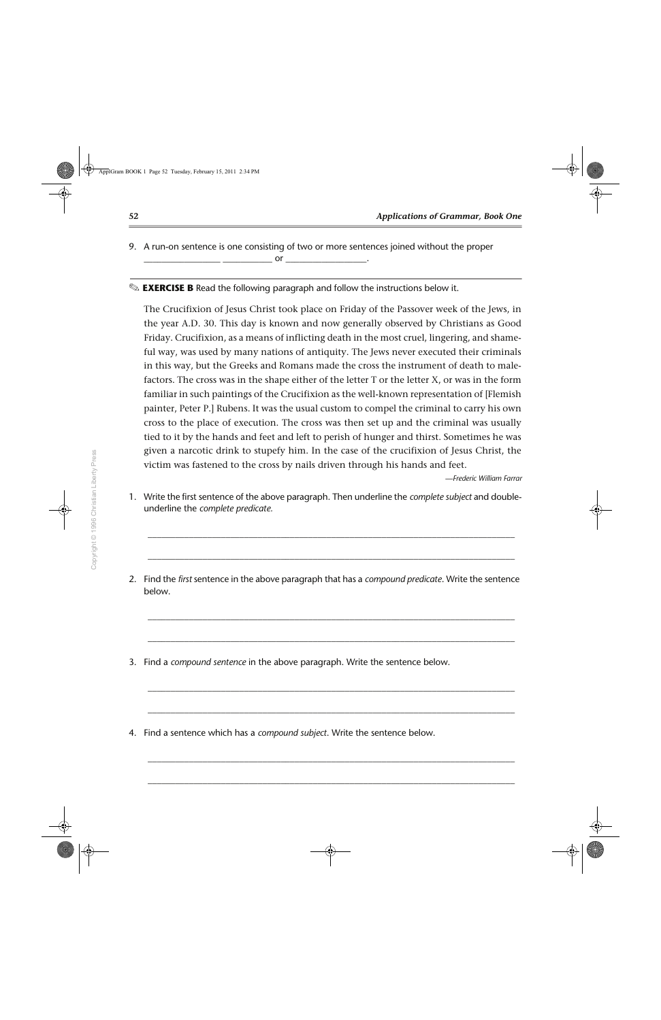9. A run-on sentence is one consisting of two or more sentences joined without the proper

 $\overline{\phantom{a}}$  or  $\overline{\phantom{a}}$ 

#### ✎ **EXERCISE B** Read the following paragraph and follow the instructions below it.

The Crucifixion of Jesus Christ took place on Friday of the Passover week of the Jews, in the year A.D. 30. This day is known and now generally observed by Christians as Good Friday. Crucifixion, as a means of inflicting death in the most cruel, lingering, and shameful way, was used by many nations of antiquity. The Jews never executed their criminals in this way, but the Greeks and Romans made the cross the instrument of death to malefactors. The cross was in the shape either of the letter T or the letter X, or was in the form familiar in such paintings of the Crucifixion as the well-known representation of [Flemish painter, Peter P.] Rubens. It was the usual custom to compel the criminal to carry his own cross to the place of execution. The cross was then set up and the criminal was usually tied to it by the hands and feet and left to perish of hunger and thirst. Sometimes he was given a narcotic drink to stupefy him. In the case of the crucifixion of Jesus Christ, the victim was fastened to the cross by nails driven through his hands and feet.

—*Frederic William Farrar*

1. Write the first sentence of the above paragraph. Then underline the *complete subject* and doubleunderline the *complete predicate.*

\_\_\_\_\_\_\_\_\_\_\_\_\_\_\_\_\_\_\_\_\_\_\_\_\_\_\_\_\_\_\_\_\_\_\_\_\_\_\_\_\_\_\_\_\_\_\_\_\_\_\_\_\_\_\_\_\_\_\_\_\_\_\_\_\_\_\_\_\_\_\_\_\_\_\_\_\_\_\_\_

\_\_\_\_\_\_\_\_\_\_\_\_\_\_\_\_\_\_\_\_\_\_\_\_\_\_\_\_\_\_\_\_\_\_\_\_\_\_\_\_\_\_\_\_\_\_\_\_\_\_\_\_\_\_\_\_\_\_\_\_\_\_\_\_\_\_\_\_\_\_\_\_\_\_\_\_\_\_\_\_

2. Find the *first* sentence in the above paragraph that has a *compound predicate*. Write the sentence below.

\_\_\_\_\_\_\_\_\_\_\_\_\_\_\_\_\_\_\_\_\_\_\_\_\_\_\_\_\_\_\_\_\_\_\_\_\_\_\_\_\_\_\_\_\_\_\_\_\_\_\_\_\_\_\_\_\_\_\_\_\_\_\_\_\_\_\_\_\_\_\_\_\_\_\_\_\_\_\_\_

\_\_\_\_\_\_\_\_\_\_\_\_\_\_\_\_\_\_\_\_\_\_\_\_\_\_\_\_\_\_\_\_\_\_\_\_\_\_\_\_\_\_\_\_\_\_\_\_\_\_\_\_\_\_\_\_\_\_\_\_\_\_\_\_\_\_\_\_\_\_\_\_\_\_\_\_\_\_\_\_

\_\_\_\_\_\_\_\_\_\_\_\_\_\_\_\_\_\_\_\_\_\_\_\_\_\_\_\_\_\_\_\_\_\_\_\_\_\_\_\_\_\_\_\_\_\_\_\_\_\_\_\_\_\_\_\_\_\_\_\_\_\_\_\_\_\_\_\_\_\_\_\_\_\_\_\_\_\_\_\_

\_\_\_\_\_\_\_\_\_\_\_\_\_\_\_\_\_\_\_\_\_\_\_\_\_\_\_\_\_\_\_\_\_\_\_\_\_\_\_\_\_\_\_\_\_\_\_\_\_\_\_\_\_\_\_\_\_\_\_\_\_\_\_\_\_\_\_\_\_\_\_\_\_\_\_\_\_\_\_\_

\_\_\_\_\_\_\_\_\_\_\_\_\_\_\_\_\_\_\_\_\_\_\_\_\_\_\_\_\_\_\_\_\_\_\_\_\_\_\_\_\_\_\_\_\_\_\_\_\_\_\_\_\_\_\_\_\_\_\_\_\_\_\_\_\_\_\_\_\_\_\_\_\_\_\_\_\_\_\_\_

\_\_\_\_\_\_\_\_\_\_\_\_\_\_\_\_\_\_\_\_\_\_\_\_\_\_\_\_\_\_\_\_\_\_\_\_\_\_\_\_\_\_\_\_\_\_\_\_\_\_\_\_\_\_\_\_\_\_\_\_\_\_\_\_\_\_\_\_\_\_\_\_\_\_\_\_\_\_\_\_

- 3. Find a *compound sentence* in the above paragraph. Write the sentence below.
- 4. Find a sentence which has a *compound subject*. Write the sentence below.